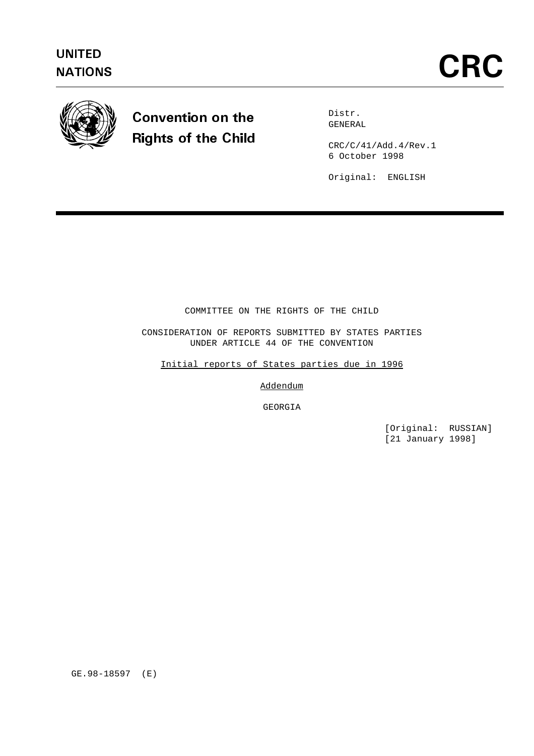

# Convention on the Rights of the Child

Distr. GENERAL

CRC/C/41/Add.4/Rev.1 6 October 1998

Original: ENGLISH

## COMMITTEE ON THE RIGHTS OF THE CHILD

CONSIDERATION OF REPORTS SUBMITTED BY STATES PARTIES UNDER ARTICLE 44 OF THE CONVENTION

Initial reports of States parties due in 1996

Addendum

GEORGIA

[Original: RUSSIAN] [21 January 1998]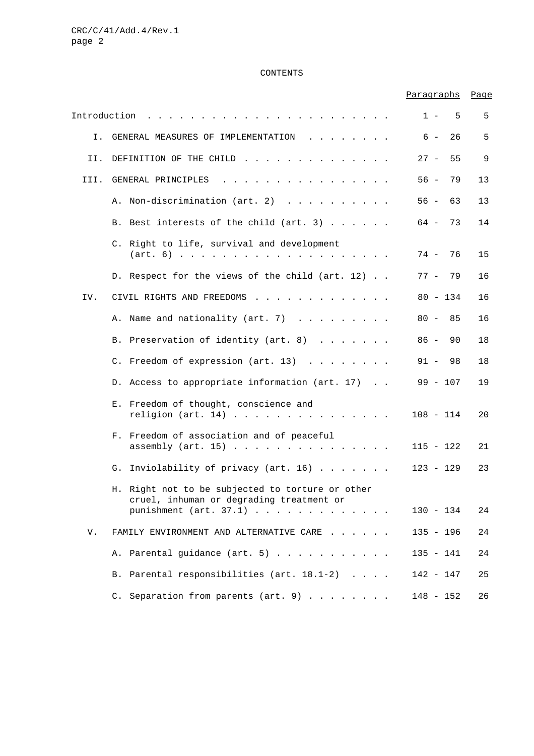## CONTENTS

|              |                                                                                                                                                                                                                                                                         | Paragraphs   | Page |
|--------------|-------------------------------------------------------------------------------------------------------------------------------------------------------------------------------------------------------------------------------------------------------------------------|--------------|------|
| Introduction | and the contract of the contract of the contract of the contract of the contract of the contract of the contract of the contract of the contract of the contract of the contract of the contract of the contract of the contra                                          | $1 -$<br>- 5 | 5    |
| Ι.           | GENERAL MEASURES OF IMPLEMENTATION<br>$\mathbf{r}$ . The contract of the contract of the contract of the contract of the contract of the contract of the contract of the contract of the contract of the contract of the contract of the contract of the contract of th | $6 -$<br>26  | 5    |
| II.          | DEFINITION OF THE CHILD                                                                                                                                                                                                                                                 | $27 -$<br>55 | 9    |
| III.         | GENERAL PRINCIPLES<br>والمناور والمناور والمناور والمناور والمناور والمناور والمناور                                                                                                                                                                                    | $56 -$<br>79 | 13   |
|              | A. Non-discrimination (art. 2)                                                                                                                                                                                                                                          | $56 -$<br>63 | 13   |
|              | B. Best interests of the child (art. 3)                                                                                                                                                                                                                                 | 64 –<br>73   | 14   |
|              | C. Right to life, survival and development                                                                                                                                                                                                                              | 76<br>74 -   | 15   |
|              | D. Respect for the views of the child (art. 12)                                                                                                                                                                                                                         | 79<br>77 –   | 16   |
| IV.          | CIVIL RIGHTS AND FREEDOMS                                                                                                                                                                                                                                               | $80 - 134$   | 16   |
|              | A. Name and nationality (art. 7)                                                                                                                                                                                                                                        | $80 -$<br>85 | 16   |
|              | B. Preservation of identity (art. 8)                                                                                                                                                                                                                                    | $86 -$<br>90 | 18   |
|              | C. Freedom of expression (art. 13)                                                                                                                                                                                                                                      | $91 -$<br>98 | 18   |
|              | D. Access to appropriate information (art. 17)                                                                                                                                                                                                                          | $99 - 107$   | 19   |
|              | E. Freedom of thought, conscience and<br>religion (art. 14)                                                                                                                                                                                                             | $108 - 114$  | 20   |
|              | F. Freedom of association and of peaceful<br>assembly $(\arct. 15)$                                                                                                                                                                                                     | $115 - 122$  | 21   |
|              | Inviolability of privacy (art. 16)<br>G.                                                                                                                                                                                                                                | $123 - 129$  | 23   |
|              | H. Right not to be subjected to torture or other<br>cruel, inhuman or degrading treatment or<br>punishment $(\text{art. } 37.1)$                                                                                                                                        | $130 - 134$  | 24   |
|              |                                                                                                                                                                                                                                                                         |              |      |
| V.           | FAMILY ENVIRONMENT AND ALTERNATIVE CARE                                                                                                                                                                                                                                 | $135 - 196$  | 24   |
|              | Parental guidance (art. 5)<br>Α.                                                                                                                                                                                                                                        | $135 - 141$  | 24   |
|              | Parental responsibilities (art. 18.1-2)<br>Β.                                                                                                                                                                                                                           | $142 - 147$  | 25   |
|              | C. Separation from parents (art. 9)                                                                                                                                                                                                                                     | $148 - 152$  | 26   |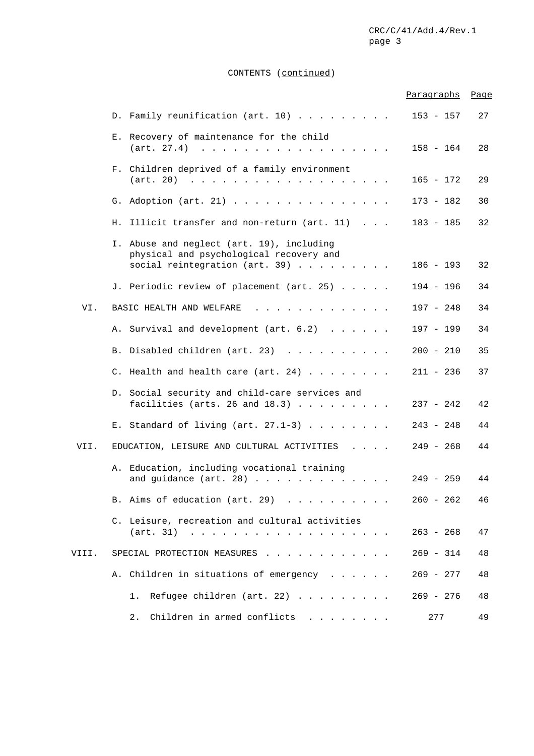## CONTENTS (continued)

|       |                                                                                                                        | Paragraphs  | Page |
|-------|------------------------------------------------------------------------------------------------------------------------|-------------|------|
|       | D. Family reunification (art. 10)                                                                                      | $153 - 157$ | 27   |
|       | E. Recovery of maintenance for the child<br>(art. 27.4)                                                                | $158 - 164$ | 28   |
|       | F. Children deprived of a family environment                                                                           | $165 - 172$ | 29   |
|       | G. Adoption (art. 21)                                                                                                  | 173 - 182   | 30   |
|       | Illicit transfer and non-return (art. 11)<br>Н.                                                                        | $183 - 185$ | 32   |
|       | I. Abuse and neglect (art. 19), including<br>physical and psychological recovery and<br>social reintegration (art. 39) | $186 - 193$ | 32   |
|       | J. Periodic review of placement (art. 25)                                                                              | $194 - 196$ | 34   |
| VI.   | BASIC HEALTH AND WELFARE<br>a carrier and a carrier and a carrier                                                      | $197 - 248$ | 34   |
|       | A. Survival and development (art. 6.2)                                                                                 | $197 - 199$ | 34   |
|       | B. Disabled children (art. 23)                                                                                         | $200 - 210$ | 35   |
|       | C. Health and health care (art. 24) $\ldots$                                                                           | 211 - 236   | 37   |
|       | D. Social security and child-care services and<br>facilities (arts. 26 and $18.3$ )                                    | $237 - 242$ | 42   |
|       | E. Standard of living (art. $27.1-3$ )                                                                                 | $243 - 248$ | 44   |
| VII.  | EDUCATION, LEISURE AND CULTURAL ACTIVITIES                                                                             | $249 - 268$ | 44   |
|       | A. Education, including vocational training<br>and guidance $(\arct. 28)$                                              | 249 - 259   | 44   |
|       | B. Aims of education (art. 29)                                                                                         | $260 - 262$ | 46   |
|       | C. Leisure, recreation and cultural activities                                                                         | $263 - 268$ | 47   |
| VIII. | SPECIAL PROTECTION MEASURES                                                                                            | $269 - 314$ | 48   |
|       | Children in situations of emergency<br>Α.                                                                              | 269 - 277   | 48   |
|       | Refugee children (art. 22) $\ldots$<br>1.                                                                              | $269 - 276$ | 48   |
|       | Children in armed conflicts<br>2.                                                                                      | 277         | 49   |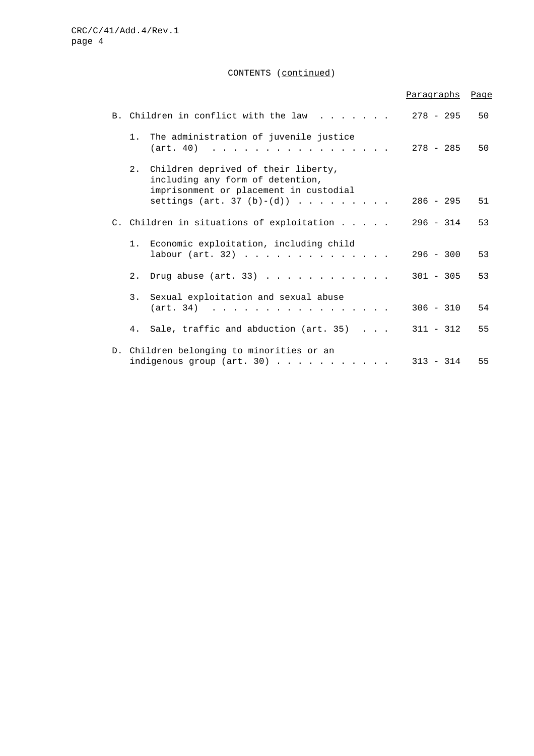## CONTENTS (continued)

|    |                                                                                                                   | Paragraphs  | Page |
|----|-------------------------------------------------------------------------------------------------------------------|-------------|------|
|    | B. Children in conflict with the law                                                                              | $278 - 295$ | 50   |
| 1. | The administration of juvenile justice<br>$(\text{art. } 40)$                                                     | 278 - 285   | 50   |
| 2. | Children deprived of their liberty,<br>including any form of detention,<br>imprisonment or placement in custodial |             |      |
|    | settings (art. 37 (b)-(d))                                                                                        | $286 - 295$ | 51   |
|    | C. Children in situations of exploitation                                                                         | $296 - 314$ | 53   |
|    | 1. Economic exploitation, including child<br>labour $(\arct. 32)$                                                 | $296 - 300$ | 53   |
| 2. | Drug abuse $(\arct. 33)$                                                                                          | $301 - 305$ | 53   |
|    | 3. Sexual exploitation and sexual abuse<br>$(\text{art. } 34)$                                                    | $306 - 310$ | 54   |
|    | 4. Sale, traffic and abduction (art. 35)                                                                          | $311 - 312$ | 55   |
|    | D. Children belonging to minorities or an<br>indigenous group (art. 30) $\ldots$                                  | $313 - 314$ | 55   |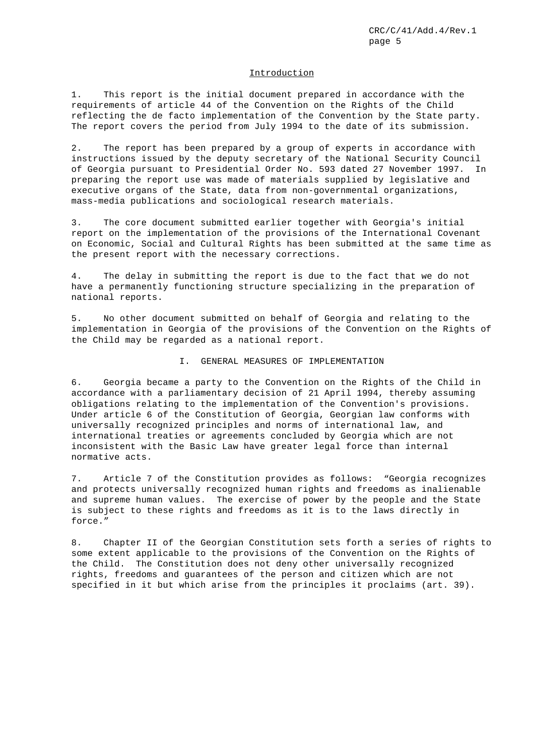#### Introduction

1. This report is the initial document prepared in accordance with the requirements of article 44 of the Convention on the Rights of the Child reflecting the de facto implementation of the Convention by the State party. The report covers the period from July 1994 to the date of its submission.

2. The report has been prepared by a group of experts in accordance with instructions issued by the deputy secretary of the National Security Council of Georgia pursuant to Presidential Order No. 593 dated 27 November 1997. In preparing the report use was made of materials supplied by legislative and executive organs of the State, data from non-governmental organizations, mass-media publications and sociological research materials.

3. The core document submitted earlier together with Georgia's initial report on the implementation of the provisions of the International Covenant on Economic, Social and Cultural Rights has been submitted at the same time as the present report with the necessary corrections.

4. The delay in submitting the report is due to the fact that we do not have a permanently functioning structure specializing in the preparation of national reports.

5. No other document submitted on behalf of Georgia and relating to the implementation in Georgia of the provisions of the Convention on the Rights of the Child may be regarded as a national report.

## I. GENERAL MEASURES OF IMPLEMENTATION

6. Georgia became a party to the Convention on the Rights of the Child in accordance with a parliamentary decision of 21 April 1994, thereby assuming obligations relating to the implementation of the Convention's provisions. Under article 6 of the Constitution of Georgia, Georgian law conforms with universally recognized principles and norms of international law, and international treaties or agreements concluded by Georgia which are not inconsistent with the Basic Law have greater legal force than internal normative acts.

7. Article 7 of the Constitution provides as follows: "Georgia recognizes and protects universally recognized human rights and freedoms as inalienable and supreme human values. The exercise of power by the people and the State is subject to these rights and freedoms as it is to the laws directly in force."

8. Chapter II of the Georgian Constitution sets forth a series of rights to some extent applicable to the provisions of the Convention on the Rights of the Child. The Constitution does not deny other universally recognized rights, freedoms and guarantees of the person and citizen which are not specified in it but which arise from the principles it proclaims (art. 39).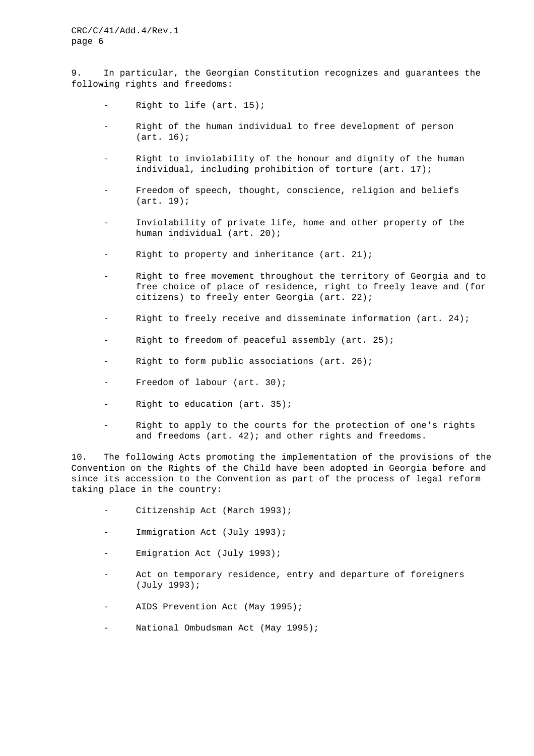9. In particular, the Georgian Constitution recognizes and guarantees the following rights and freedoms:

- Right to life (art.  $15$ );
- Right of the human individual to free development of person (art. 16);
- Right to inviolability of the honour and dignity of the human individual, including prohibition of torture (art. 17);
- Freedom of speech, thought, conscience, religion and beliefs (art. 19);
- Inviolability of private life, home and other property of the human individual (art. 20);
- Right to property and inheritance (art.  $21$ );
- Right to free movement throughout the territory of Georgia and to free choice of place of residence, right to freely leave and (for citizens) to freely enter Georgia (art. 22);
- Right to freely receive and disseminate information (art. 24);
- Right to freedom of peaceful assembly (art. 25);
- Right to form public associations (art.  $26$ );
- Freedom of labour (art. 30);
- Right to education (art.  $35$ );
- Right to apply to the courts for the protection of one's rights and freedoms (art. 42); and other rights and freedoms.

10. The following Acts promoting the implementation of the provisions of the Convention on the Rights of the Child have been adopted in Georgia before and since its accession to the Convention as part of the process of legal reform taking place in the country:

- Citizenship Act (March 1993);
- Immigration Act (July 1993);
- Emigration Act (July 1993);
- Act on temporary residence, entry and departure of foreigners (July 1993);
- AIDS Prevention Act (May 1995);
- National Ombudsman Act (May 1995);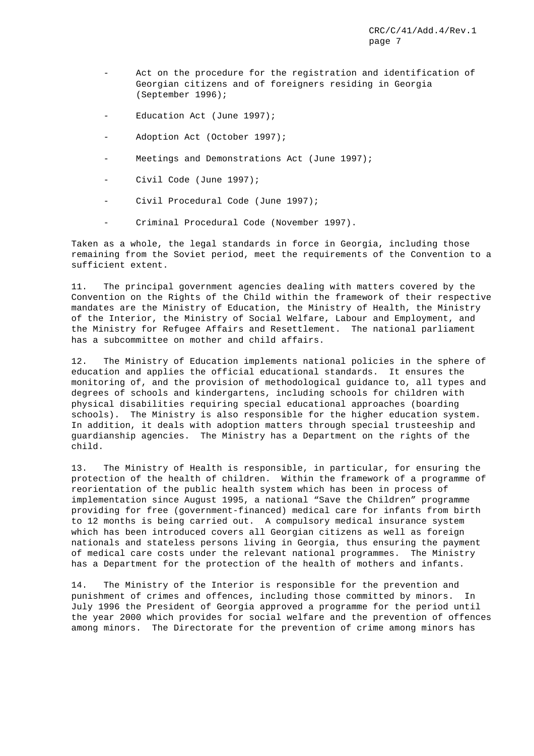- Act on the procedure for the registration and identification of Georgian citizens and of foreigners residing in Georgia (September 1996);
- Education Act (June 1997);
- Adoption Act (October 1997);
- Meetings and Demonstrations Act (June 1997);
- Civil Code (June 1997);
- Civil Procedural Code (June 1997);
- Criminal Procedural Code (November 1997).

Taken as a whole, the legal standards in force in Georgia, including those remaining from the Soviet period, meet the requirements of the Convention to a sufficient extent.

11. The principal government agencies dealing with matters covered by the Convention on the Rights of the Child within the framework of their respective mandates are the Ministry of Education, the Ministry of Health, the Ministry of the Interior, the Ministry of Social Welfare, Labour and Employment, and the Ministry for Refugee Affairs and Resettlement. The national parliament has a subcommittee on mother and child affairs.

12. The Ministry of Education implements national policies in the sphere of education and applies the official educational standards. It ensures the monitoring of, and the provision of methodological guidance to, all types and degrees of schools and kindergartens, including schools for children with physical disabilities requiring special educational approaches (boarding schools). The Ministry is also responsible for the higher education system. In addition, it deals with adoption matters through special trusteeship and guardianship agencies. The Ministry has a Department on the rights of the child.

13. The Ministry of Health is responsible, in particular, for ensuring the protection of the health of children. Within the framework of a programme of reorientation of the public health system which has been in process of implementation since August 1995, a national "Save the Children" programme providing for free (government-financed) medical care for infants from birth to 12 months is being carried out. A compulsory medical insurance system which has been introduced covers all Georgian citizens as well as foreign nationals and stateless persons living in Georgia, thus ensuring the payment of medical care costs under the relevant national programmes. The Ministry has a Department for the protection of the health of mothers and infants.

14. The Ministry of the Interior is responsible for the prevention and punishment of crimes and offences, including those committed by minors. In July 1996 the President of Georgia approved a programme for the period until the year 2000 which provides for social welfare and the prevention of offences among minors. The Directorate for the prevention of crime among minors has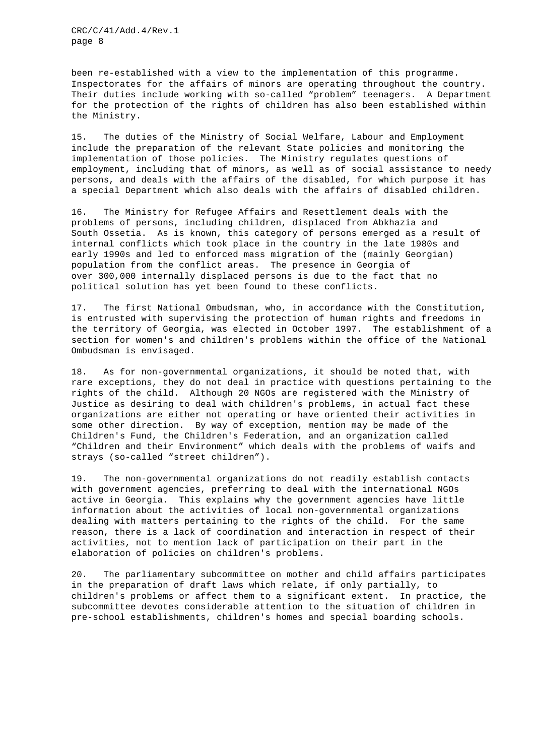been re-established with a view to the implementation of this programme. Inspectorates for the affairs of minors are operating throughout the country. Their duties include working with so-called "problem" teenagers. A Department for the protection of the rights of children has also been established within the Ministry.

15. The duties of the Ministry of Social Welfare, Labour and Employment include the preparation of the relevant State policies and monitoring the implementation of those policies. The Ministry regulates questions of employment, including that of minors, as well as of social assistance to needy persons, and deals with the affairs of the disabled, for which purpose it has a special Department which also deals with the affairs of disabled children.

16. The Ministry for Refugee Affairs and Resettlement deals with the problems of persons, including children, displaced from Abkhazia and South Ossetia. As is known, this category of persons emerged as a result of internal conflicts which took place in the country in the late 1980s and early 1990s and led to enforced mass migration of the (mainly Georgian) population from the conflict areas. The presence in Georgia of over 300,000 internally displaced persons is due to the fact that no political solution has yet been found to these conflicts.

17. The first National Ombudsman, who, in accordance with the Constitution, is entrusted with supervising the protection of human rights and freedoms in the territory of Georgia, was elected in October 1997. The establishment of a section for women's and children's problems within the office of the National Ombudsman is envisaged.

18. As for non-governmental organizations, it should be noted that, with rare exceptions, they do not deal in practice with questions pertaining to the rights of the child. Although 20 NGOs are registered with the Ministry of Justice as desiring to deal with children's problems, in actual fact these organizations are either not operating or have oriented their activities in some other direction. By way of exception, mention may be made of the Children's Fund, the Children's Federation, and an organization called "Children and their Environment" which deals with the problems of waifs and strays (so-called "street children").

19. The non-governmental organizations do not readily establish contacts with government agencies, preferring to deal with the international NGOs active in Georgia. This explains why the government agencies have little information about the activities of local non-governmental organizations dealing with matters pertaining to the rights of the child. For the same reason, there is a lack of coordination and interaction in respect of their activities, not to mention lack of participation on their part in the elaboration of policies on children's problems.

20. The parliamentary subcommittee on mother and child affairs participates in the preparation of draft laws which relate, if only partially, to children's problems or affect them to a significant extent. In practice, the subcommittee devotes considerable attention to the situation of children in pre-school establishments, children's homes and special boarding schools.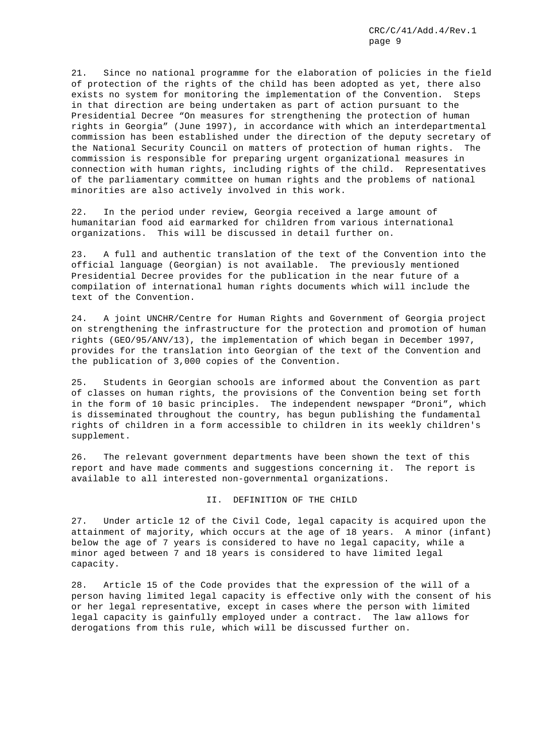21. Since no national programme for the elaboration of policies in the field of protection of the rights of the child has been adopted as yet, there also exists no system for monitoring the implementation of the Convention. Steps in that direction are being undertaken as part of action pursuant to the Presidential Decree "On measures for strengthening the protection of human rights in Georgia" (June 1997), in accordance with which an interdepartmental commission has been established under the direction of the deputy secretary of the National Security Council on matters of protection of human rights. The commission is responsible for preparing urgent organizational measures in connection with human rights, including rights of the child. Representatives of the parliamentary committee on human rights and the problems of national minorities are also actively involved in this work.

22. In the period under review, Georgia received a large amount of humanitarian food aid earmarked for children from various international organizations. This will be discussed in detail further on.

23. A full and authentic translation of the text of the Convention into the official language (Georgian) is not available. The previously mentioned Presidential Decree provides for the publication in the near future of a compilation of international human rights documents which will include the text of the Convention.

24. A joint UNCHR/Centre for Human Rights and Government of Georgia project on strengthening the infrastructure for the protection and promotion of human rights (GEO/95/ANV/13), the implementation of which began in December 1997, provides for the translation into Georgian of the text of the Convention and the publication of 3,000 copies of the Convention.

25. Students in Georgian schools are informed about the Convention as part of classes on human rights, the provisions of the Convention being set forth in the form of 10 basic principles. The independent newspaper "Droni", which is disseminated throughout the country, has begun publishing the fundamental rights of children in a form accessible to children in its weekly children's supplement.

26. The relevant government departments have been shown the text of this report and have made comments and suggestions concerning it. The report is available to all interested non-governmental organizations.

## II. DEFINITION OF THE CHILD

27. Under article 12 of the Civil Code, legal capacity is acquired upon the attainment of majority, which occurs at the age of 18 years. A minor (infant) below the age of 7 years is considered to have no legal capacity, while a minor aged between 7 and 18 years is considered to have limited legal capacity.

28. Article 15 of the Code provides that the expression of the will of a person having limited legal capacity is effective only with the consent of his or her legal representative, except in cases where the person with limited legal capacity is gainfully employed under a contract. The law allows for derogations from this rule, which will be discussed further on.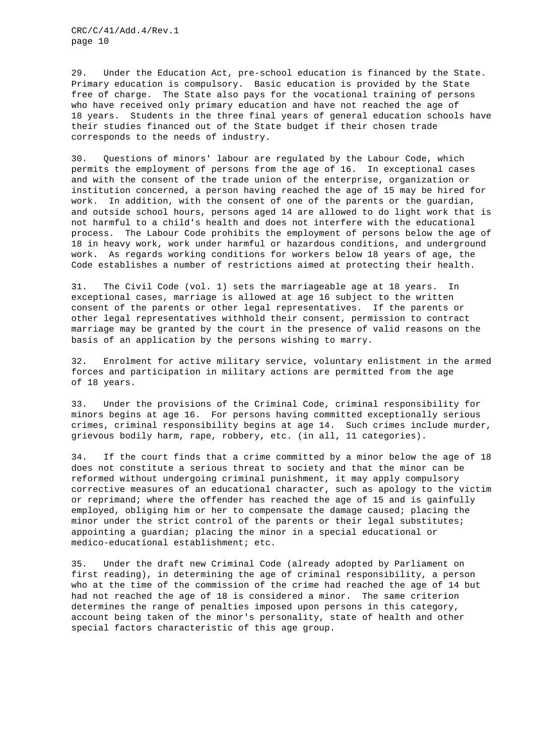29. Under the Education Act, pre-school education is financed by the State. Primary education is compulsory. Basic education is provided by the State free of charge. The State also pays for the vocational training of persons who have received only primary education and have not reached the age of 18 years. Students in the three final years of general education schools have their studies financed out of the State budget if their chosen trade corresponds to the needs of industry.

30. Questions of minors' labour are regulated by the Labour Code, which permits the employment of persons from the age of 16. In exceptional cases and with the consent of the trade union of the enterprise, organization or institution concerned, a person having reached the age of 15 may be hired for work. In addition, with the consent of one of the parents or the guardian, and outside school hours, persons aged 14 are allowed to do light work that is not harmful to a child's health and does not interfere with the educational process. The Labour Code prohibits the employment of persons below the age of 18 in heavy work, work under harmful or hazardous conditions, and underground work. As regards working conditions for workers below 18 years of age, the Code establishes a number of restrictions aimed at protecting their health.

31. The Civil Code (vol. 1) sets the marriageable age at 18 years. In exceptional cases, marriage is allowed at age 16 subject to the written consent of the parents or other legal representatives. If the parents or other legal representatives withhold their consent, permission to contract marriage may be granted by the court in the presence of valid reasons on the basis of an application by the persons wishing to marry.

32. Enrolment for active military service, voluntary enlistment in the armed forces and participation in military actions are permitted from the age of 18 years.

33. Under the provisions of the Criminal Code, criminal responsibility for minors begins at age 16. For persons having committed exceptionally serious crimes, criminal responsibility begins at age 14. Such crimes include murder, grievous bodily harm, rape, robbery, etc. (in all, 11 categories).

34. If the court finds that a crime committed by a minor below the age of 18 does not constitute a serious threat to society and that the minor can be reformed without undergoing criminal punishment, it may apply compulsory corrective measures of an educational character, such as apology to the victim or reprimand; where the offender has reached the age of 15 and is gainfully employed, obliging him or her to compensate the damage caused; placing the minor under the strict control of the parents or their legal substitutes; appointing a guardian; placing the minor in a special educational or medico-educational establishment; etc.

35. Under the draft new Criminal Code (already adopted by Parliament on first reading), in determining the age of criminal responsibility, a person who at the time of the commission of the crime had reached the age of 14 but had not reached the age of 18 is considered a minor. The same criterion determines the range of penalties imposed upon persons in this category, account being taken of the minor's personality, state of health and other special factors characteristic of this age group.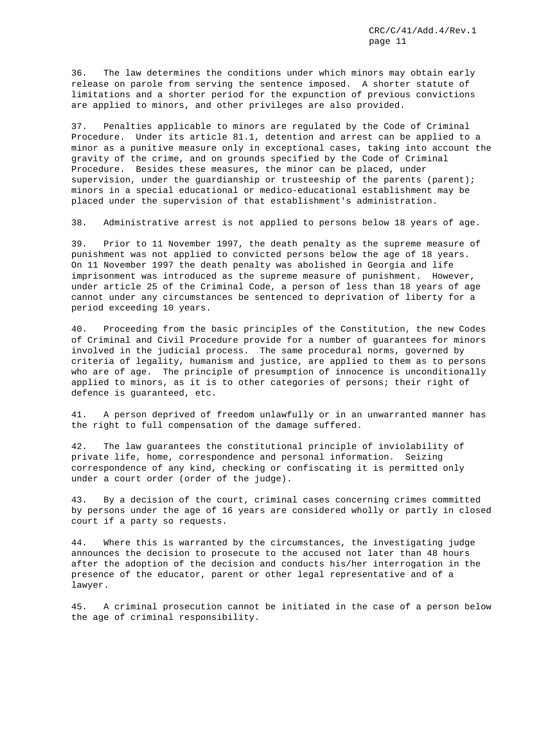36. The law determines the conditions under which minors may obtain early release on parole from serving the sentence imposed. A shorter statute of limitations and a shorter period for the expunction of previous convictions are applied to minors, and other privileges are also provided.

37. Penalties applicable to minors are regulated by the Code of Criminal Procedure. Under its article 81.1, detention and arrest can be applied to a minor as a punitive measure only in exceptional cases, taking into account the gravity of the crime, and on grounds specified by the Code of Criminal Procedure. Besides these measures, the minor can be placed, under supervision, under the guardianship or trusteeship of the parents (parent); minors in a special educational or medico-educational establishment may be placed under the supervision of that establishment's administration.

38. Administrative arrest is not applied to persons below 18 years of age.

39. Prior to 11 November 1997, the death penalty as the supreme measure of punishment was not applied to convicted persons below the age of 18 years. On 11 November 1997 the death penalty was abolished in Georgia and life imprisonment was introduced as the supreme measure of punishment. However, under article 25 of the Criminal Code, a person of less than 18 years of age cannot under any circumstances be sentenced to deprivation of liberty for a period exceeding 10 years.

40. Proceeding from the basic principles of the Constitution, the new Codes of Criminal and Civil Procedure provide for a number of guarantees for minors involved in the judicial process. The same procedural norms, governed by criteria of legality, humanism and justice, are applied to them as to persons who are of age. The principle of presumption of innocence is unconditionally applied to minors, as it is to other categories of persons; their right of defence is guaranteed, etc.

41. A person deprived of freedom unlawfully or in an unwarranted manner has the right to full compensation of the damage suffered.

42. The law guarantees the constitutional principle of inviolability of private life, home, correspondence and personal information. Seizing correspondence of any kind, checking or confiscating it is permitted only under a court order (order of the judge).

43. By a decision of the court, criminal cases concerning crimes committed by persons under the age of 16 years are considered wholly or partly in closed court if a party so requests.

44. Where this is warranted by the circumstances, the investigating judge announces the decision to prosecute to the accused not later than 48 hours after the adoption of the decision and conducts his/her interrogation in the presence of the educator, parent or other legal representative and of a lawyer.

45. A criminal prosecution cannot be initiated in the case of a person below the age of criminal responsibility.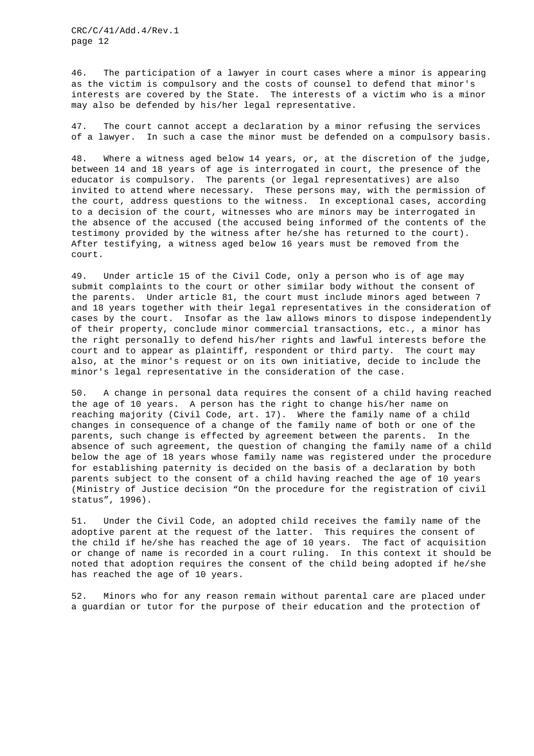46. The participation of a lawyer in court cases where a minor is appearing as the victim is compulsory and the costs of counsel to defend that minor's interests are covered by the State. The interests of a victim who is a minor may also be defended by his/her legal representative.

47. The court cannot accept a declaration by a minor refusing the services of a lawyer. In such a case the minor must be defended on a compulsory basis.

48. Where a witness aged below 14 years, or, at the discretion of the judge, between 14 and 18 years of age is interrogated in court, the presence of the educator is compulsory. The parents (or legal representatives) are also invited to attend where necessary. These persons may, with the permission of the court, address questions to the witness. In exceptional cases, according to a decision of the court, witnesses who are minors may be interrogated in the absence of the accused (the accused being informed of the contents of the testimony provided by the witness after he/she has returned to the court). After testifying, a witness aged below 16 years must be removed from the court.

49. Under article 15 of the Civil Code, only a person who is of age may submit complaints to the court or other similar body without the consent of the parents. Under article 81, the court must include minors aged between 7 and 18 years together with their legal representatives in the consideration of cases by the court. Insofar as the law allows minors to dispose independently of their property, conclude minor commercial transactions, etc., a minor has the right personally to defend his/her rights and lawful interests before the court and to appear as plaintiff, respondent or third party. The court may also, at the minor's request or on its own initiative, decide to include the minor's legal representative in the consideration of the case.

50. A change in personal data requires the consent of a child having reached the age of 10 years. A person has the right to change his/her name on reaching majority (Civil Code, art. 17). Where the family name of a child changes in consequence of a change of the family name of both or one of the parents, such change is effected by agreement between the parents. In the absence of such agreement, the question of changing the family name of a child below the age of 18 years whose family name was registered under the procedure for establishing paternity is decided on the basis of a declaration by both parents subject to the consent of a child having reached the age of 10 years (Ministry of Justice decision "On the procedure for the registration of civil status", 1996).

51. Under the Civil Code, an adopted child receives the family name of the adoptive parent at the request of the latter. This requires the consent of the child if he/she has reached the age of 10 years. The fact of acquisition or change of name is recorded in a court ruling. In this context it should be noted that adoption requires the consent of the child being adopted if he/she has reached the age of 10 years.

52. Minors who for any reason remain without parental care are placed under a guardian or tutor for the purpose of their education and the protection of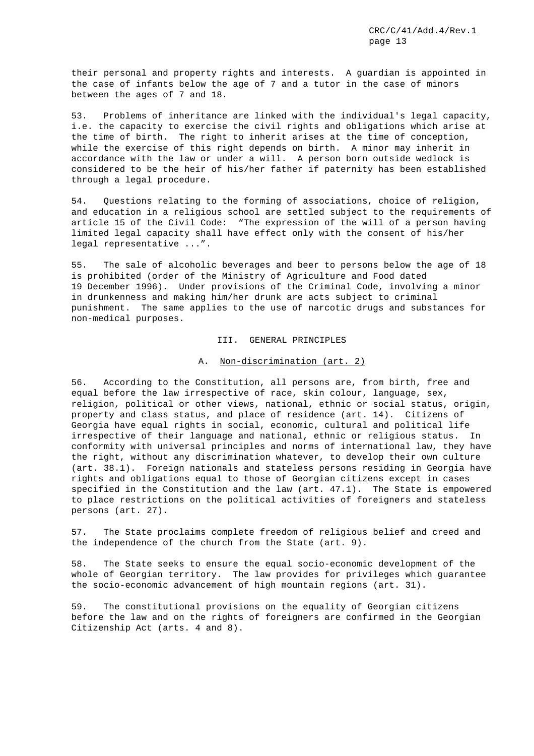their personal and property rights and interests. A guardian is appointed in the case of infants below the age of 7 and a tutor in the case of minors between the ages of 7 and 18.

53. Problems of inheritance are linked with the individual's legal capacity, i.e. the capacity to exercise the civil rights and obligations which arise at the time of birth. The right to inherit arises at the time of conception, while the exercise of this right depends on birth. A minor may inherit in accordance with the law or under a will. A person born outside wedlock is considered to be the heir of his/her father if paternity has been established through a legal procedure.

54. Questions relating to the forming of associations, choice of religion, and education in a religious school are settled subject to the requirements of article 15 of the Civil Code: "The expression of the will of a person having limited legal capacity shall have effect only with the consent of his/her legal representative ...".

55. The sale of alcoholic beverages and beer to persons below the age of 18 is prohibited (order of the Ministry of Agriculture and Food dated 19 December 1996). Under provisions of the Criminal Code, involving a minor in drunkenness and making him/her drunk are acts subject to criminal punishment. The same applies to the use of narcotic drugs and substances for non-medical purposes.

#### III. GENERAL PRINCIPLES

## A. Non-discrimination (art. 2)

56. According to the Constitution, all persons are, from birth, free and equal before the law irrespective of race, skin colour, language, sex, religion, political or other views, national, ethnic or social status, origin, property and class status, and place of residence (art. 14). Citizens of Georgia have equal rights in social, economic, cultural and political life irrespective of their language and national, ethnic or religious status. In conformity with universal principles and norms of international law, they have the right, without any discrimination whatever, to develop their own culture (art. 38.1). Foreign nationals and stateless persons residing in Georgia have rights and obligations equal to those of Georgian citizens except in cases specified in the Constitution and the law (art. 47.1). The State is empowered to place restrictions on the political activities of foreigners and stateless persons (art. 27).

57. The State proclaims complete freedom of religious belief and creed and the independence of the church from the State (art. 9).

58. The State seeks to ensure the equal socio-economic development of the whole of Georgian territory. The law provides for privileges which guarantee the socio-economic advancement of high mountain regions (art. 31).

59. The constitutional provisions on the equality of Georgian citizens before the law and on the rights of foreigners are confirmed in the Georgian Citizenship Act (arts. 4 and 8).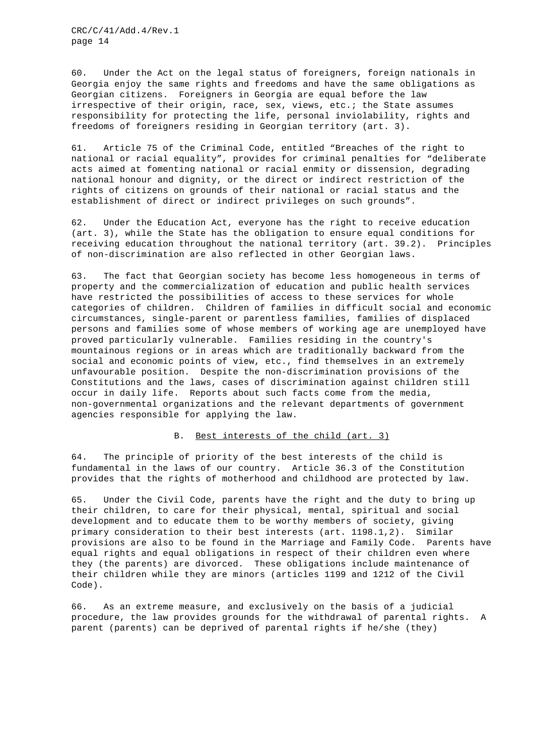60. Under the Act on the legal status of foreigners, foreign nationals in Georgia enjoy the same rights and freedoms and have the same obligations as Georgian citizens. Foreigners in Georgia are equal before the law irrespective of their origin, race, sex, views, etc.; the State assumes responsibility for protecting the life, personal inviolability, rights and freedoms of foreigners residing in Georgian territory (art. 3).

61. Article 75 of the Criminal Code, entitled "Breaches of the right to national or racial equality", provides for criminal penalties for "deliberate acts aimed at fomenting national or racial enmity or dissension, degrading national honour and dignity, or the direct or indirect restriction of the rights of citizens on grounds of their national or racial status and the establishment of direct or indirect privileges on such grounds".

62. Under the Education Act, everyone has the right to receive education (art. 3), while the State has the obligation to ensure equal conditions for receiving education throughout the national territory (art. 39.2). Principles of non-discrimination are also reflected in other Georgian laws.

63. The fact that Georgian society has become less homogeneous in terms of property and the commercialization of education and public health services have restricted the possibilities of access to these services for whole categories of children. Children of families in difficult social and economic circumstances, single-parent or parentless families, families of displaced persons and families some of whose members of working age are unemployed have proved particularly vulnerable. Families residing in the country's mountainous regions or in areas which are traditionally backward from the social and economic points of view, etc., find themselves in an extremely unfavourable position. Despite the non-discrimination provisions of the Constitutions and the laws, cases of discrimination against children still occur in daily life. Reports about such facts come from the media, non-governmental organizations and the relevant departments of government agencies responsible for applying the law.

## B. Best interests of the child (art. 3)

64. The principle of priority of the best interests of the child is fundamental in the laws of our country. Article 36.3 of the Constitution provides that the rights of motherhood and childhood are protected by law.

65. Under the Civil Code, parents have the right and the duty to bring up their children, to care for their physical, mental, spiritual and social development and to educate them to be worthy members of society, giving primary consideration to their best interests (art. 1198.1,2). Similar provisions are also to be found in the Marriage and Family Code. Parents have equal rights and equal obligations in respect of their children even where they (the parents) are divorced. These obligations include maintenance of their children while they are minors (articles 1199 and 1212 of the Civil Code).

66. As an extreme measure, and exclusively on the basis of a judicial procedure, the law provides grounds for the withdrawal of parental rights. A parent (parents) can be deprived of parental rights if he/she (they)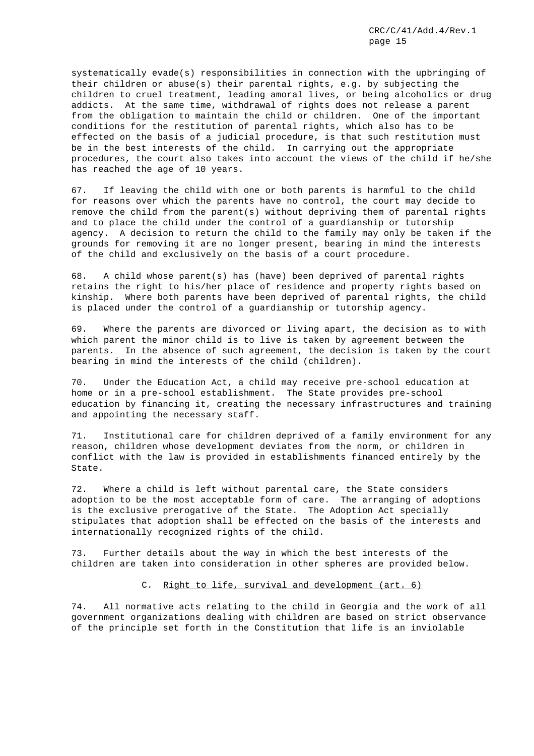systematically evade(s) responsibilities in connection with the upbringing of their children or abuse(s) their parental rights, e.g. by subjecting the children to cruel treatment, leading amoral lives, or being alcoholics or drug addicts. At the same time, withdrawal of rights does not release a parent from the obligation to maintain the child or children. One of the important conditions for the restitution of parental rights, which also has to be effected on the basis of a judicial procedure, is that such restitution must be in the best interests of the child. In carrying out the appropriate procedures, the court also takes into account the views of the child if he/she has reached the age of 10 years.

67. If leaving the child with one or both parents is harmful to the child for reasons over which the parents have no control, the court may decide to remove the child from the parent(s) without depriving them of parental rights and to place the child under the control of a guardianship or tutorship agency. A decision to return the child to the family may only be taken if the grounds for removing it are no longer present, bearing in mind the interests of the child and exclusively on the basis of a court procedure.

68. A child whose parent(s) has (have) been deprived of parental rights retains the right to his/her place of residence and property rights based on kinship. Where both parents have been deprived of parental rights, the child is placed under the control of a guardianship or tutorship agency.

69. Where the parents are divorced or living apart, the decision as to with which parent the minor child is to live is taken by agreement between the parents. In the absence of such agreement, the decision is taken by the court bearing in mind the interests of the child (children).

70. Under the Education Act, a child may receive pre-school education at home or in a pre-school establishment. The State provides pre-school education by financing it, creating the necessary infrastructures and training and appointing the necessary staff.

71. Institutional care for children deprived of a family environment for any reason, children whose development deviates from the norm, or children in conflict with the law is provided in establishments financed entirely by the State.

72. Where a child is left without parental care, the State considers adoption to be the most acceptable form of care. The arranging of adoptions is the exclusive prerogative of the State. The Adoption Act specially stipulates that adoption shall be effected on the basis of the interests and internationally recognized rights of the child.

73. Further details about the way in which the best interests of the children are taken into consideration in other spheres are provided below.

#### C. Right to life, survival and development (art. 6)

74. All normative acts relating to the child in Georgia and the work of all government organizations dealing with children are based on strict observance of the principle set forth in the Constitution that life is an inviolable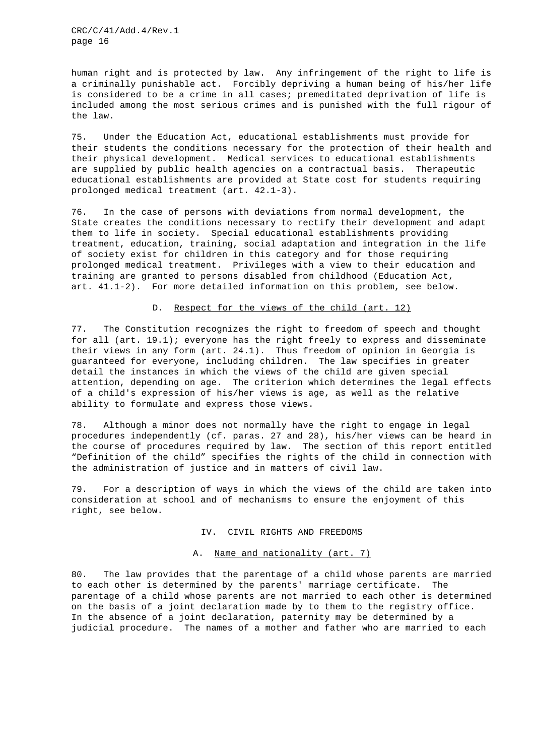human right and is protected by law. Any infringement of the right to life is a criminally punishable act. Forcibly depriving a human being of his/her life is considered to be a crime in all cases; premeditated deprivation of life is included among the most serious crimes and is punished with the full rigour of the law.

75. Under the Education Act, educational establishments must provide for their students the conditions necessary for the protection of their health and their physical development. Medical services to educational establishments are supplied by public health agencies on a contractual basis. Therapeutic educational establishments are provided at State cost for students requiring prolonged medical treatment (art. 42.1-3).

76. In the case of persons with deviations from normal development, the State creates the conditions necessary to rectify their development and adapt them to life in society. Special educational establishments providing treatment, education, training, social adaptation and integration in the life of society exist for children in this category and for those requiring prolonged medical treatment. Privileges with a view to their education and training are granted to persons disabled from childhood (Education Act, art. 41.1-2). For more detailed information on this problem, see below.

## D. Respect for the views of the child (art. 12)

77. The Constitution recognizes the right to freedom of speech and thought for all (art. 19.1); everyone has the right freely to express and disseminate their views in any form (art. 24.1). Thus freedom of opinion in Georgia is guaranteed for everyone, including children. The law specifies in greater detail the instances in which the views of the child are given special attention, depending on age. The criterion which determines the legal effects of a child's expression of his/her views is age, as well as the relative ability to formulate and express those views.

78. Although a minor does not normally have the right to engage in legal procedures independently (cf. paras. 27 and 28), his/her views can be heard in the course of procedures required by law. The section of this report entitled "Definition of the child" specifies the rights of the child in connection with the administration of justice and in matters of civil law.

79. For a description of ways in which the views of the child are taken into consideration at school and of mechanisms to ensure the enjoyment of this right, see below.

#### IV. CIVIL RIGHTS AND FREEDOMS

## A. Name and nationality (art. 7)

80. The law provides that the parentage of a child whose parents are married to each other is determined by the parents' marriage certificate. The parentage of a child whose parents are not married to each other is determined on the basis of a joint declaration made by to them to the registry office. In the absence of a joint declaration, paternity may be determined by a judicial procedure. The names of a mother and father who are married to each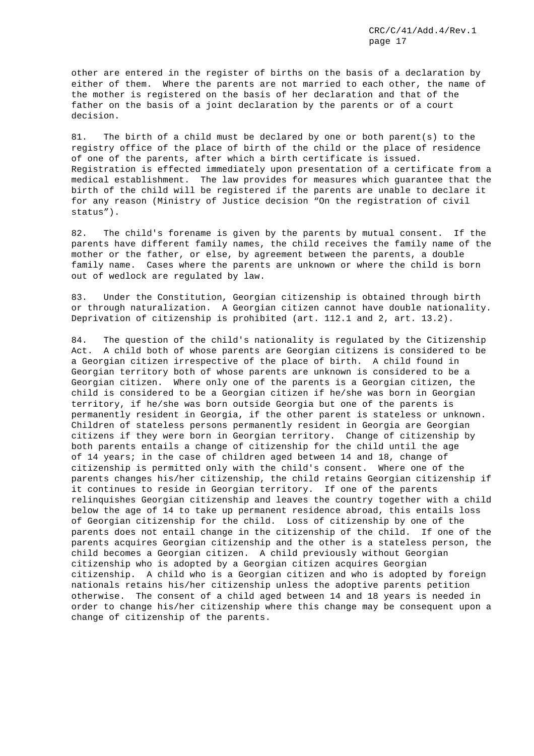other are entered in the register of births on the basis of a declaration by either of them. Where the parents are not married to each other, the name of the mother is registered on the basis of her declaration and that of the father on the basis of a joint declaration by the parents or of a court decision.

81. The birth of a child must be declared by one or both parent(s) to the registry office of the place of birth of the child or the place of residence of one of the parents, after which a birth certificate is issued. Registration is effected immediately upon presentation of a certificate from a medical establishment. The law provides for measures which guarantee that the birth of the child will be registered if the parents are unable to declare it for any reason (Ministry of Justice decision "On the registration of civil status").

82. The child's forename is given by the parents by mutual consent. If the parents have different family names, the child receives the family name of the mother or the father, or else, by agreement between the parents, a double family name. Cases where the parents are unknown or where the child is born out of wedlock are regulated by law.

83. Under the Constitution, Georgian citizenship is obtained through birth or through naturalization. A Georgian citizen cannot have double nationality. Deprivation of citizenship is prohibited (art. 112.1 and 2, art. 13.2).

84. The question of the child's nationality is regulated by the Citizenship Act. A child both of whose parents are Georgian citizens is considered to be a Georgian citizen irrespective of the place of birth. A child found in Georgian territory both of whose parents are unknown is considered to be a Georgian citizen. Where only one of the parents is a Georgian citizen, the child is considered to be a Georgian citizen if he/she was born in Georgian territory, if he/she was born outside Georgia but one of the parents is permanently resident in Georgia, if the other parent is stateless or unknown. Children of stateless persons permanently resident in Georgia are Georgian citizens if they were born in Georgian territory. Change of citizenship by both parents entails a change of citizenship for the child until the age of 14 years; in the case of children aged between 14 and 18, change of citizenship is permitted only with the child's consent. Where one of the parents changes his/her citizenship, the child retains Georgian citizenship if it continues to reside in Georgian territory. If one of the parents relinquishes Georgian citizenship and leaves the country together with a child below the age of 14 to take up permanent residence abroad, this entails loss of Georgian citizenship for the child. Loss of citizenship by one of the parents does not entail change in the citizenship of the child. If one of the parents acquires Georgian citizenship and the other is a stateless person, the child becomes a Georgian citizen. A child previously without Georgian citizenship who is adopted by a Georgian citizen acquires Georgian citizenship. A child who is a Georgian citizen and who is adopted by foreign nationals retains his/her citizenship unless the adoptive parents petition otherwise. The consent of a child aged between 14 and 18 years is needed in order to change his/her citizenship where this change may be consequent upon a change of citizenship of the parents.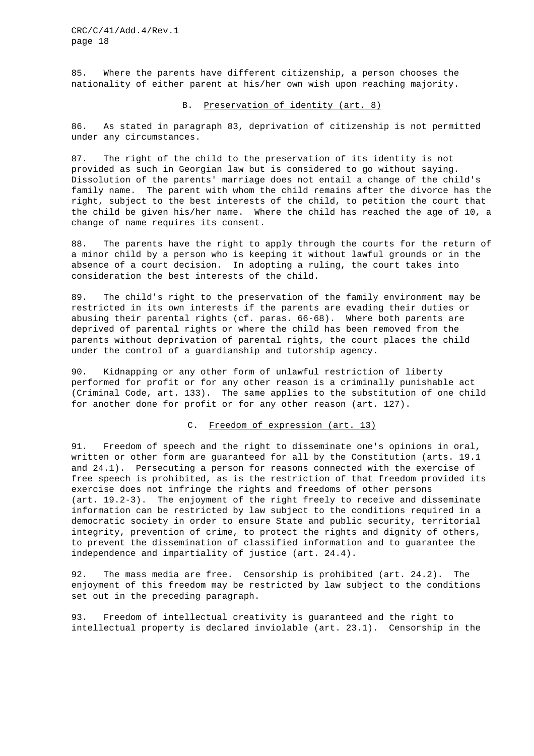85. Where the parents have different citizenship, a person chooses the nationality of either parent at his/her own wish upon reaching majority.

## B. Preservation of identity (art. 8)

86. As stated in paragraph 83, deprivation of citizenship is not permitted under any circumstances.

87. The right of the child to the preservation of its identity is not provided as such in Georgian law but is considered to go without saying. Dissolution of the parents' marriage does not entail a change of the child's family name. The parent with whom the child remains after the divorce has the right, subject to the best interests of the child, to petition the court that the child be given his/her name. Where the child has reached the age of 10, a change of name requires its consent.

88. The parents have the right to apply through the courts for the return of a minor child by a person who is keeping it without lawful grounds or in the absence of a court decision. In adopting a ruling, the court takes into consideration the best interests of the child.

89. The child's right to the preservation of the family environment may be restricted in its own interests if the parents are evading their duties or abusing their parental rights (cf. paras. 66-68). Where both parents are deprived of parental rights or where the child has been removed from the parents without deprivation of parental rights, the court places the child under the control of a guardianship and tutorship agency.

90. Kidnapping or any other form of unlawful restriction of liberty performed for profit or for any other reason is a criminally punishable act (Criminal Code, art. 133). The same applies to the substitution of one child for another done for profit or for any other reason (art. 127).

#### C. Freedom of expression (art. 13)

91. Freedom of speech and the right to disseminate one's opinions in oral, written or other form are guaranteed for all by the Constitution (arts. 19.1 and 24.1). Persecuting a person for reasons connected with the exercise of free speech is prohibited, as is the restriction of that freedom provided its exercise does not infringe the rights and freedoms of other persons (art. 19.2-3). The enjoyment of the right freely to receive and disseminate information can be restricted by law subject to the conditions required in a democratic society in order to ensure State and public security, territorial integrity, prevention of crime, to protect the rights and dignity of others, to prevent the dissemination of classified information and to guarantee the independence and impartiality of justice (art. 24.4).

92. The mass media are free. Censorship is prohibited (art. 24.2). The enjoyment of this freedom may be restricted by law subject to the conditions set out in the preceding paragraph.

93. Freedom of intellectual creativity is guaranteed and the right to intellectual property is declared inviolable (art. 23.1). Censorship in the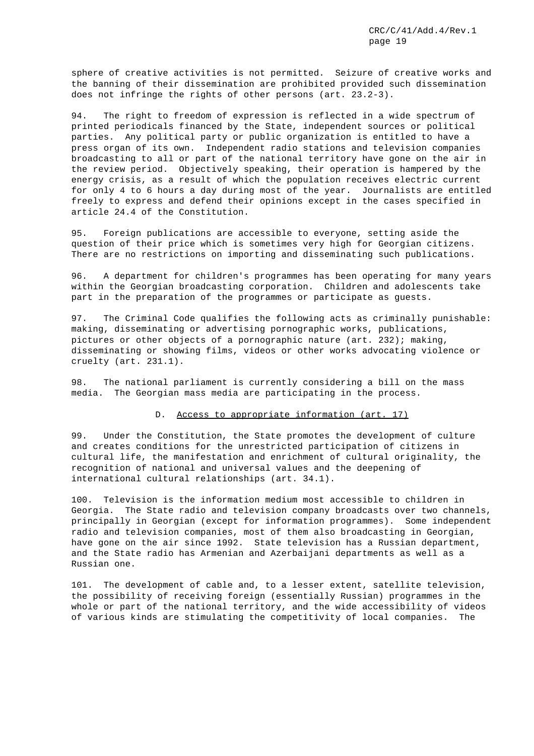sphere of creative activities is not permitted. Seizure of creative works and the banning of their dissemination are prohibited provided such dissemination does not infringe the rights of other persons (art. 23.2-3).

94. The right to freedom of expression is reflected in a wide spectrum of printed periodicals financed by the State, independent sources or political parties. Any political party or public organization is entitled to have a press organ of its own. Independent radio stations and television companies broadcasting to all or part of the national territory have gone on the air in the review period. Objectively speaking, their operation is hampered by the energy crisis, as a result of which the population receives electric current for only 4 to 6 hours a day during most of the year. Journalists are entitled freely to express and defend their opinions except in the cases specified in article 24.4 of the Constitution.

95. Foreign publications are accessible to everyone, setting aside the question of their price which is sometimes very high for Georgian citizens. There are no restrictions on importing and disseminating such publications.

96. A department for children's programmes has been operating for many years within the Georgian broadcasting corporation. Children and adolescents take part in the preparation of the programmes or participate as guests.

97. The Criminal Code qualifies the following acts as criminally punishable: making, disseminating or advertising pornographic works, publications, pictures or other objects of a pornographic nature (art. 232); making, disseminating or showing films, videos or other works advocating violence or cruelty (art. 231.1).

98. The national parliament is currently considering a bill on the mass media. The Georgian mass media are participating in the process.

## D. Access to appropriate information (art. 17)

99. Under the Constitution, the State promotes the development of culture and creates conditions for the unrestricted participation of citizens in cultural life, the manifestation and enrichment of cultural originality, the recognition of national and universal values and the deepening of international cultural relationships (art. 34.1).

100. Television is the information medium most accessible to children in Georgia. The State radio and television company broadcasts over two channels, principally in Georgian (except for information programmes). Some independent radio and television companies, most of them also broadcasting in Georgian, have gone on the air since 1992. State television has a Russian department, and the State radio has Armenian and Azerbaijani departments as well as a Russian one.

101. The development of cable and, to a lesser extent, satellite television, the possibility of receiving foreign (essentially Russian) programmes in the whole or part of the national territory, and the wide accessibility of videos of various kinds are stimulating the competitivity of local companies. The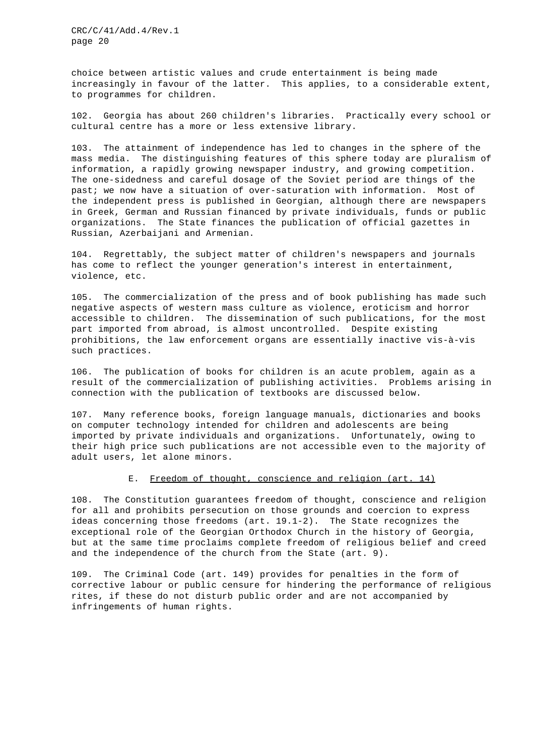choice between artistic values and crude entertainment is being made increasingly in favour of the latter. This applies, to a considerable extent, to programmes for children.

102. Georgia has about 260 children's libraries. Practically every school or cultural centre has a more or less extensive library.

103. The attainment of independence has led to changes in the sphere of the mass media. The distinguishing features of this sphere today are pluralism of information, a rapidly growing newspaper industry, and growing competition. The one-sidedness and careful dosage of the Soviet period are things of the past; we now have a situation of over-saturation with information. Most of the independent press is published in Georgian, although there are newspapers in Greek, German and Russian financed by private individuals, funds or public organizations. The State finances the publication of official gazettes in Russian, Azerbaijani and Armenian.

104. Regrettably, the subject matter of children's newspapers and journals has come to reflect the younger generation's interest in entertainment, violence, etc.

105. The commercialization of the press and of book publishing has made such negative aspects of western mass culture as violence, eroticism and horror accessible to children. The dissemination of such publications, for the most part imported from abroad, is almost uncontrolled. Despite existing prohibitions, the law enforcement organs are essentially inactive vis-à-vis such practices.

106. The publication of books for children is an acute problem, again as a result of the commercialization of publishing activities. Problems arising in connection with the publication of textbooks are discussed below.

107. Many reference books, foreign language manuals, dictionaries and books on computer technology intended for children and adolescents are being imported by private individuals and organizations. Unfortunately, owing to their high price such publications are not accessible even to the majority of adult users, let alone minors.

## E. Freedom of thought, conscience and religion (art. 14)

108. The Constitution guarantees freedom of thought, conscience and religion for all and prohibits persecution on those grounds and coercion to express ideas concerning those freedoms (art. 19.1-2). The State recognizes the exceptional role of the Georgian Orthodox Church in the history of Georgia, but at the same time proclaims complete freedom of religious belief and creed and the independence of the church from the State (art. 9).

109. The Criminal Code (art. 149) provides for penalties in the form of corrective labour or public censure for hindering the performance of religious rites, if these do not disturb public order and are not accompanied by infringements of human rights.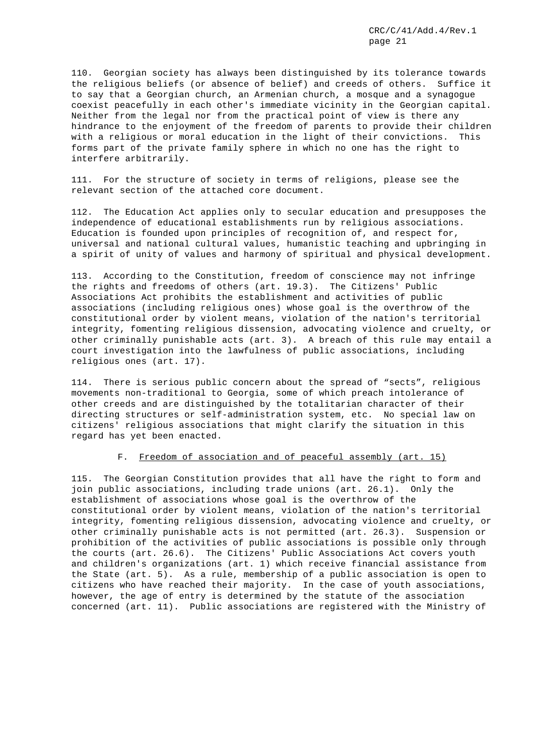110. Georgian society has always been distinguished by its tolerance towards the religious beliefs (or absence of belief) and creeds of others. Suffice it to say that a Georgian church, an Armenian church, a mosque and a synagogue coexist peacefully in each other's immediate vicinity in the Georgian capital. Neither from the legal nor from the practical point of view is there any hindrance to the enjoyment of the freedom of parents to provide their children with a religious or moral education in the light of their convictions. This forms part of the private family sphere in which no one has the right to interfere arbitrarily.

111. For the structure of society in terms of religions, please see the relevant section of the attached core document.

112. The Education Act applies only to secular education and presupposes the independence of educational establishments run by religious associations. Education is founded upon principles of recognition of, and respect for, universal and national cultural values, humanistic teaching and upbringing in a spirit of unity of values and harmony of spiritual and physical development.

113. According to the Constitution, freedom of conscience may not infringe the rights and freedoms of others (art. 19.3). The Citizens' Public Associations Act prohibits the establishment and activities of public associations (including religious ones) whose goal is the overthrow of the constitutional order by violent means, violation of the nation's territorial integrity, fomenting religious dissension, advocating violence and cruelty, or other criminally punishable acts (art. 3). A breach of this rule may entail a court investigation into the lawfulness of public associations, including religious ones (art. 17).

114. There is serious public concern about the spread of "sects", religious movements non-traditional to Georgia, some of which preach intolerance of other creeds and are distinguished by the totalitarian character of their directing structures or self-administration system, etc. No special law on citizens' religious associations that might clarify the situation in this regard has yet been enacted.

#### F. Freedom of association and of peaceful assembly (art. 15)

115. The Georgian Constitution provides that all have the right to form and join public associations, including trade unions (art. 26.1). Only the establishment of associations whose goal is the overthrow of the constitutional order by violent means, violation of the nation's territorial integrity, fomenting religious dissension, advocating violence and cruelty, or other criminally punishable acts is not permitted (art. 26.3). Suspension or prohibition of the activities of public associations is possible only through the courts (art. 26.6). The Citizens' Public Associations Act covers youth and children's organizations (art. 1) which receive financial assistance from the State (art. 5). As a rule, membership of a public association is open to citizens who have reached their majority. In the case of youth associations, however, the age of entry is determined by the statute of the association concerned (art. 11). Public associations are registered with the Ministry of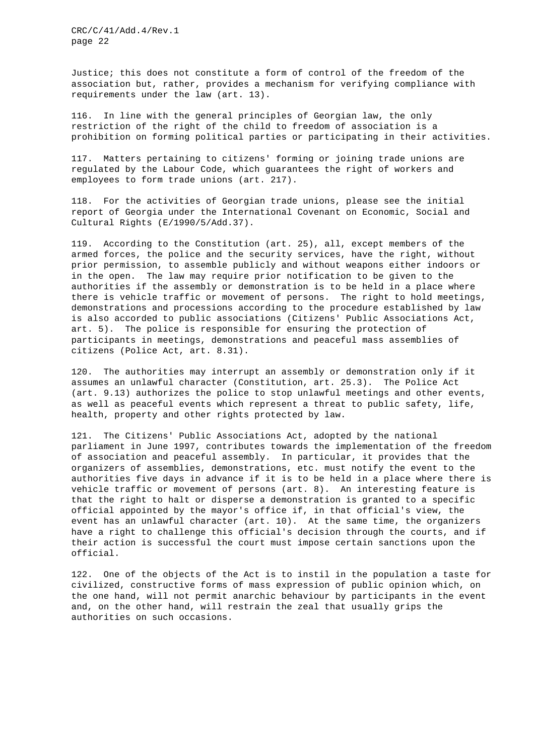Justice; this does not constitute a form of control of the freedom of the association but, rather, provides a mechanism for verifying compliance with requirements under the law (art. 13).

116. In line with the general principles of Georgian law, the only restriction of the right of the child to freedom of association is a prohibition on forming political parties or participating in their activities.

117. Matters pertaining to citizens' forming or joining trade unions are regulated by the Labour Code, which guarantees the right of workers and employees to form trade unions (art. 217).

118. For the activities of Georgian trade unions, please see the initial report of Georgia under the International Covenant on Economic, Social and Cultural Rights (E/1990/5/Add.37).

119. According to the Constitution (art. 25), all, except members of the armed forces, the police and the security services, have the right, without prior permission, to assemble publicly and without weapons either indoors or in the open. The law may require prior notification to be given to the authorities if the assembly or demonstration is to be held in a place where there is vehicle traffic or movement of persons. The right to hold meetings, demonstrations and processions according to the procedure established by law is also accorded to public associations (Citizens' Public Associations Act, art. 5). The police is responsible for ensuring the protection of participants in meetings, demonstrations and peaceful mass assemblies of citizens (Police Act, art. 8.31).

120. The authorities may interrupt an assembly or demonstration only if it assumes an unlawful character (Constitution, art. 25.3). The Police Act (art. 9.13) authorizes the police to stop unlawful meetings and other events, as well as peaceful events which represent a threat to public safety, life, health, property and other rights protected by law.

121. The Citizens' Public Associations Act, adopted by the national parliament in June 1997, contributes towards the implementation of the freedom of association and peaceful assembly. In particular, it provides that the organizers of assemblies, demonstrations, etc. must notify the event to the authorities five days in advance if it is to be held in a place where there is vehicle traffic or movement of persons (art. 8). An interesting feature is that the right to halt or disperse a demonstration is granted to a specific official appointed by the mayor's office if, in that official's view, the event has an unlawful character (art. 10). At the same time, the organizers have a right to challenge this official's decision through the courts, and if their action is successful the court must impose certain sanctions upon the official.

122. One of the objects of the Act is to instil in the population a taste for civilized, constructive forms of mass expression of public opinion which, on the one hand, will not permit anarchic behaviour by participants in the event and, on the other hand, will restrain the zeal that usually grips the authorities on such occasions.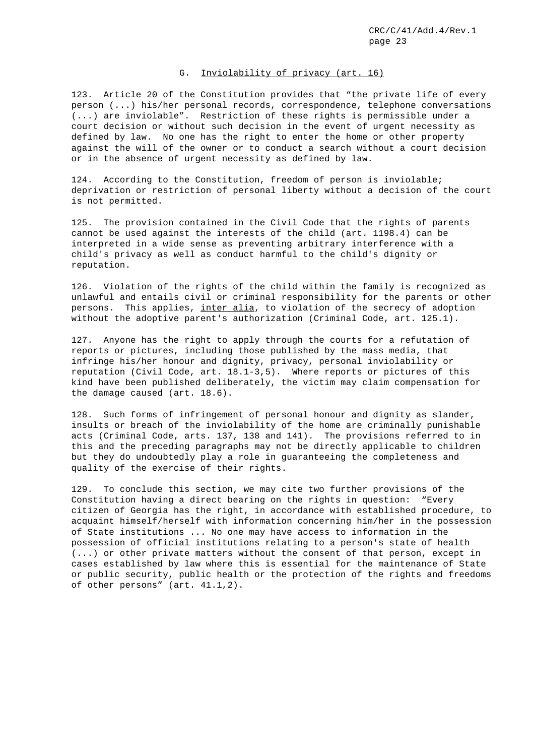## G. Inviolability of privacy (art. 16)

123. Article 20 of the Constitution provides that "the private life of every person (...) his/her personal records, correspondence, telephone conversations (...) are inviolable". Restriction of these rights is permissible under a court decision or without such decision in the event of urgent necessity as defined by law. No one has the right to enter the home or other property against the will of the owner or to conduct a search without a court decision or in the absence of urgent necessity as defined by law.

124. According to the Constitution, freedom of person is inviolable; deprivation or restriction of personal liberty without a decision of the court is not permitted.

125. The provision contained in the Civil Code that the rights of parents cannot be used against the interests of the child (art. 1198.4) can be interpreted in a wide sense as preventing arbitrary interference with a child's privacy as well as conduct harmful to the child's dignity or reputation.

126. Violation of the rights of the child within the family is recognized as unlawful and entails civil or criminal responsibility for the parents or other persons. This applies, inter alia, to violation of the secrecy of adoption without the adoptive parent's authorization (Criminal Code, art. 125.1).

127. Anyone has the right to apply through the courts for a refutation of reports or pictures, including those published by the mass media, that infringe his/her honour and dignity, privacy, personal inviolability or reputation (Civil Code, art. 18.1-3,5). Where reports or pictures of this kind have been published deliberately, the victim may claim compensation for the damage caused (art. 18.6).

128. Such forms of infringement of personal honour and dignity as slander, insults or breach of the inviolability of the home are criminally punishable acts (Criminal Code, arts. 137, 138 and 141). The provisions referred to in this and the preceding paragraphs may not be directly applicable to children but they do undoubtedly play a role in guaranteeing the completeness and quality of the exercise of their rights.

129. To conclude this section, we may cite two further provisions of the Constitution having a direct bearing on the rights in question: "Every citizen of Georgia has the right, in accordance with established procedure, to acquaint himself/herself with information concerning him/her in the possession of State institutions ... No one may have access to information in the possession of official institutions relating to a person's state of health (...) or other private matters without the consent of that person, except in cases established by law where this is essential for the maintenance of State or public security, public health or the protection of the rights and freedoms of other persons" (art. 41.1,2).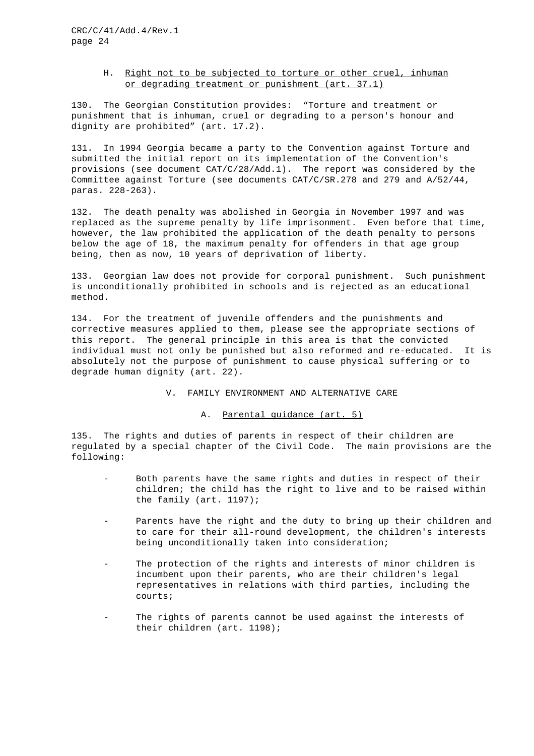## H. Right not to be subjected to torture or other cruel, inhuman or degrading treatment or punishment (art. 37.1)

130. The Georgian Constitution provides: "Torture and treatment or punishment that is inhuman, cruel or degrading to a person's honour and dignity are prohibited" (art. 17.2).

131. In 1994 Georgia became a party to the Convention against Torture and submitted the initial report on its implementation of the Convention's provisions (see document CAT/C/28/Add.1). The report was considered by the Committee against Torture (see documents CAT/C/SR.278 and 279 and A/52/44, paras. 228-263).

132. The death penalty was abolished in Georgia in November 1997 and was replaced as the supreme penalty by life imprisonment. Even before that time, however, the law prohibited the application of the death penalty to persons below the age of 18, the maximum penalty for offenders in that age group being, then as now, 10 years of deprivation of liberty.

133. Georgian law does not provide for corporal punishment. Such punishment is unconditionally prohibited in schools and is rejected as an educational method.

134. For the treatment of juvenile offenders and the punishments and corrective measures applied to them, please see the appropriate sections of this report. The general principle in this area is that the convicted individual must not only be punished but also reformed and re-educated. It is absolutely not the purpose of punishment to cause physical suffering or to degrade human dignity (art. 22).

V. FAMILY ENVIRONMENT AND ALTERNATIVE CARE

#### A. Parental guidance (art. 5)

135. The rights and duties of parents in respect of their children are regulated by a special chapter of the Civil Code. The main provisions are the following:

- Both parents have the same rights and duties in respect of their children; the child has the right to live and to be raised within the family (art. 1197);
- Parents have the right and the duty to bring up their children and to care for their all-round development, the children's interests being unconditionally taken into consideration;
- The protection of the rights and interests of minor children is incumbent upon their parents, who are their children's legal representatives in relations with third parties, including the courts;
- The rights of parents cannot be used against the interests of their children (art. 1198);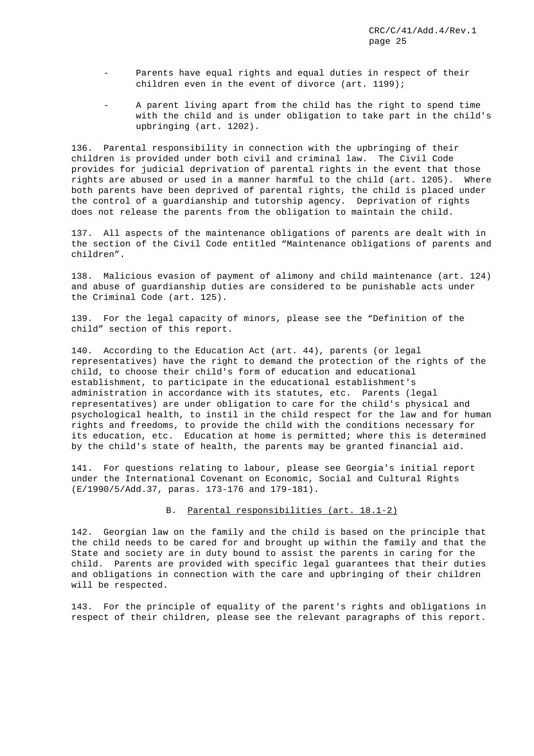- Parents have equal rights and equal duties in respect of their children even in the event of divorce (art. 1199);
- A parent living apart from the child has the right to spend time with the child and is under obligation to take part in the child's upbringing (art. 1202).

136. Parental responsibility in connection with the upbringing of their children is provided under both civil and criminal law. The Civil Code provides for judicial deprivation of parental rights in the event that those rights are abused or used in a manner harmful to the child (art. 1205). Where both parents have been deprived of parental rights, the child is placed under the control of a guardianship and tutorship agency. Deprivation of rights does not release the parents from the obligation to maintain the child.

137. All aspects of the maintenance obligations of parents are dealt with in the section of the Civil Code entitled "Maintenance obligations of parents and children".

138. Malicious evasion of payment of alimony and child maintenance (art. 124) and abuse of guardianship duties are considered to be punishable acts under the Criminal Code (art. 125).

139. For the legal capacity of minors, please see the "Definition of the child" section of this report.

140. According to the Education Act (art. 44), parents (or legal representatives) have the right to demand the protection of the rights of the child, to choose their child's form of education and educational establishment, to participate in the educational establishment's administration in accordance with its statutes, etc. Parents (legal representatives) are under obligation to care for the child's physical and psychological health, to instil in the child respect for the law and for human rights and freedoms, to provide the child with the conditions necessary for its education, etc. Education at home is permitted; where this is determined by the child's state of health, the parents may be granted financial aid.

141. For questions relating to labour, please see Georgia's initial report under the International Covenant on Economic, Social and Cultural Rights (E/1990/5/Add.37, paras. 173-176 and 179-181).

#### B. Parental responsibilities (art. 18.1-2)

142. Georgian law on the family and the child is based on the principle that the child needs to be cared for and brought up within the family and that the State and society are in duty bound to assist the parents in caring for the child. Parents are provided with specific legal guarantees that their duties and obligations in connection with the care and upbringing of their children will be respected.

143. For the principle of equality of the parent's rights and obligations in respect of their children, please see the relevant paragraphs of this report.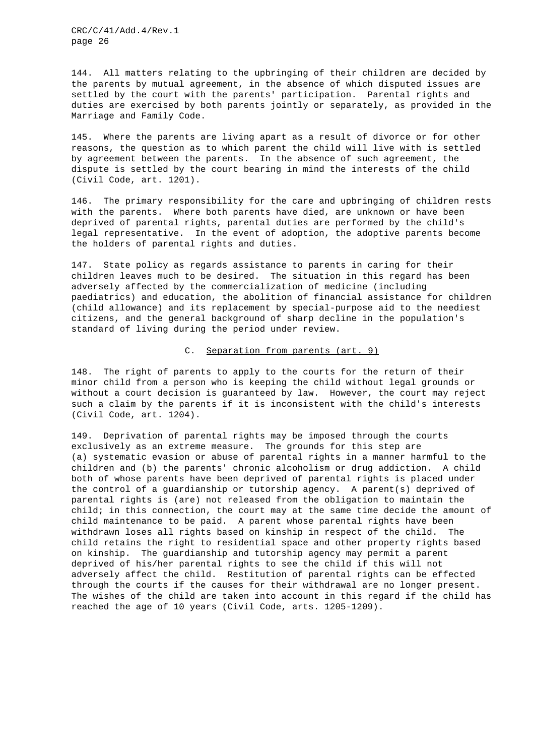144. All matters relating to the upbringing of their children are decided by the parents by mutual agreement, in the absence of which disputed issues are settled by the court with the parents' participation. Parental rights and duties are exercised by both parents jointly or separately, as provided in the Marriage and Family Code.

145. Where the parents are living apart as a result of divorce or for other reasons, the question as to which parent the child will live with is settled by agreement between the parents. In the absence of such agreement, the dispute is settled by the court bearing in mind the interests of the child (Civil Code, art. 1201).

146. The primary responsibility for the care and upbringing of children rests with the parents. Where both parents have died, are unknown or have been deprived of parental rights, parental duties are performed by the child's legal representative. In the event of adoption, the adoptive parents become the holders of parental rights and duties.

147. State policy as regards assistance to parents in caring for their children leaves much to be desired. The situation in this regard has been adversely affected by the commercialization of medicine (including paediatrics) and education, the abolition of financial assistance for children (child allowance) and its replacement by special-purpose aid to the neediest citizens, and the general background of sharp decline in the population's standard of living during the period under review.

## C. Separation from parents (art. 9)

148. The right of parents to apply to the courts for the return of their minor child from a person who is keeping the child without legal grounds or without a court decision is guaranteed by law. However, the court may reject such a claim by the parents if it is inconsistent with the child's interests (Civil Code, art. 1204).

149. Deprivation of parental rights may be imposed through the courts exclusively as an extreme measure. The grounds for this step are (a) systematic evasion or abuse of parental rights in a manner harmful to the children and (b) the parents' chronic alcoholism or drug addiction. A child both of whose parents have been deprived of parental rights is placed under the control of a guardianship or tutorship agency. A parent(s) deprived of parental rights is (are) not released from the obligation to maintain the child; in this connection, the court may at the same time decide the amount of child maintenance to be paid. A parent whose parental rights have been withdrawn loses all rights based on kinship in respect of the child. The child retains the right to residential space and other property rights based on kinship. The guardianship and tutorship agency may permit a parent deprived of his/her parental rights to see the child if this will not adversely affect the child. Restitution of parental rights can be effected through the courts if the causes for their withdrawal are no longer present. The wishes of the child are taken into account in this regard if the child has reached the age of 10 years (Civil Code, arts. 1205-1209).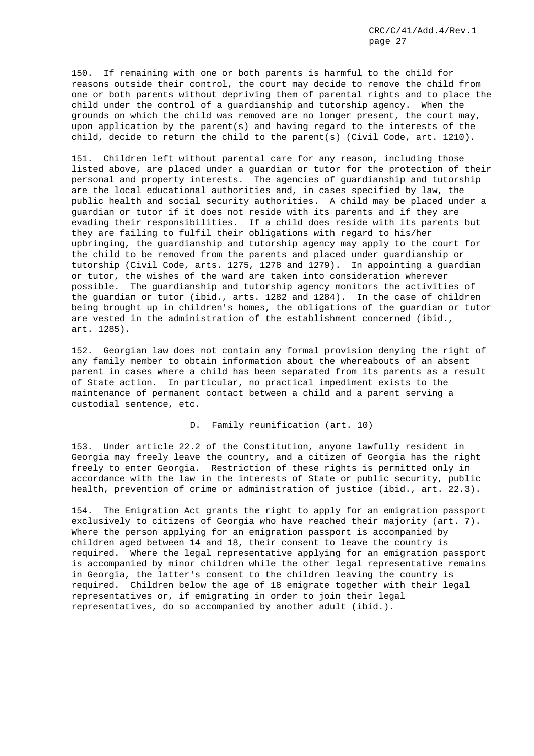150. If remaining with one or both parents is harmful to the child for reasons outside their control, the court may decide to remove the child from one or both parents without depriving them of parental rights and to place the child under the control of a guardianship and tutorship agency. When the grounds on which the child was removed are no longer present, the court may, upon application by the parent(s) and having regard to the interests of the child, decide to return the child to the parent(s) (Civil Code, art. 1210).

151. Children left without parental care for any reason, including those listed above, are placed under a guardian or tutor for the protection of their personal and property interests. The agencies of guardianship and tutorship are the local educational authorities and, in cases specified by law, the public health and social security authorities. A child may be placed under a guardian or tutor if it does not reside with its parents and if they are evading their responsibilities. If a child does reside with its parents but they are failing to fulfil their obligations with regard to his/her upbringing, the guardianship and tutorship agency may apply to the court for the child to be removed from the parents and placed under guardianship or tutorship (Civil Code, arts. 1275, 1278 and 1279). In appointing a guardian or tutor, the wishes of the ward are taken into consideration wherever possible. The guardianship and tutorship agency monitors the activities of the guardian or tutor (ibid., arts. 1282 and 1284). In the case of children being brought up in children's homes, the obligations of the guardian or tutor are vested in the administration of the establishment concerned (ibid., art. 1285).

152. Georgian law does not contain any formal provision denying the right of any family member to obtain information about the whereabouts of an absent parent in cases where a child has been separated from its parents as a result of State action. In particular, no practical impediment exists to the maintenance of permanent contact between a child and a parent serving a custodial sentence, etc.

#### D. Family reunification (art. 10)

153. Under article 22.2 of the Constitution, anyone lawfully resident in Georgia may freely leave the country, and a citizen of Georgia has the right freely to enter Georgia. Restriction of these rights is permitted only in accordance with the law in the interests of State or public security, public health, prevention of crime or administration of justice (ibid., art. 22.3).

154. The Emigration Act grants the right to apply for an emigration passport exclusively to citizens of Georgia who have reached their majority (art. 7). Where the person applying for an emigration passport is accompanied by children aged between 14 and 18, their consent to leave the country is required. Where the legal representative applying for an emigration passport is accompanied by minor children while the other legal representative remains in Georgia, the latter's consent to the children leaving the country is required. Children below the age of 18 emigrate together with their legal representatives or, if emigrating in order to join their legal representatives, do so accompanied by another adult (ibid.).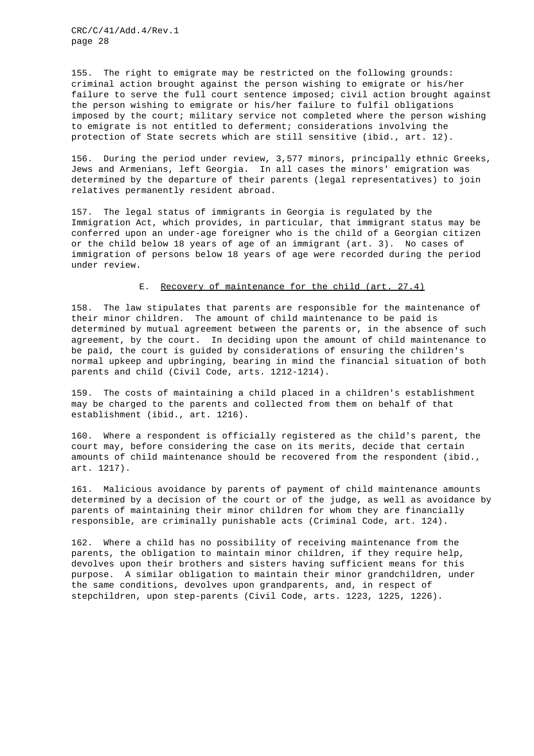155. The right to emigrate may be restricted on the following grounds: criminal action brought against the person wishing to emigrate or his/her failure to serve the full court sentence imposed; civil action brought against the person wishing to emigrate or his/her failure to fulfil obligations imposed by the court; military service not completed where the person wishing to emigrate is not entitled to deferment; considerations involving the protection of State secrets which are still sensitive (ibid., art. 12).

156. During the period under review, 3,577 minors, principally ethnic Greeks, Jews and Armenians, left Georgia. In all cases the minors' emigration was determined by the departure of their parents (legal representatives) to join relatives permanently resident abroad.

157. The legal status of immigrants in Georgia is regulated by the Immigration Act, which provides, in particular, that immigrant status may be conferred upon an under-age foreigner who is the child of a Georgian citizen or the child below 18 years of age of an immigrant (art. 3). No cases of immigration of persons below 18 years of age were recorded during the period under review.

#### E. Recovery of maintenance for the child (art. 27.4)

158. The law stipulates that parents are responsible for the maintenance of their minor children. The amount of child maintenance to be paid is determined by mutual agreement between the parents or, in the absence of such agreement, by the court. In deciding upon the amount of child maintenance to be paid, the court is guided by considerations of ensuring the children's normal upkeep and upbringing, bearing in mind the financial situation of both parents and child (Civil Code, arts. 1212-1214).

159. The costs of maintaining a child placed in a children's establishment may be charged to the parents and collected from them on behalf of that establishment (ibid., art. 1216).

160. Where a respondent is officially registered as the child's parent, the court may, before considering the case on its merits, decide that certain amounts of child maintenance should be recovered from the respondent (ibid., art. 1217).

161. Malicious avoidance by parents of payment of child maintenance amounts determined by a decision of the court or of the judge, as well as avoidance by parents of maintaining their minor children for whom they are financially responsible, are criminally punishable acts (Criminal Code, art. 124).

162. Where a child has no possibility of receiving maintenance from the parents, the obligation to maintain minor children, if they require help, devolves upon their brothers and sisters having sufficient means for this purpose. A similar obligation to maintain their minor grandchildren, under the same conditions, devolves upon grandparents, and, in respect of stepchildren, upon step-parents (Civil Code, arts. 1223, 1225, 1226).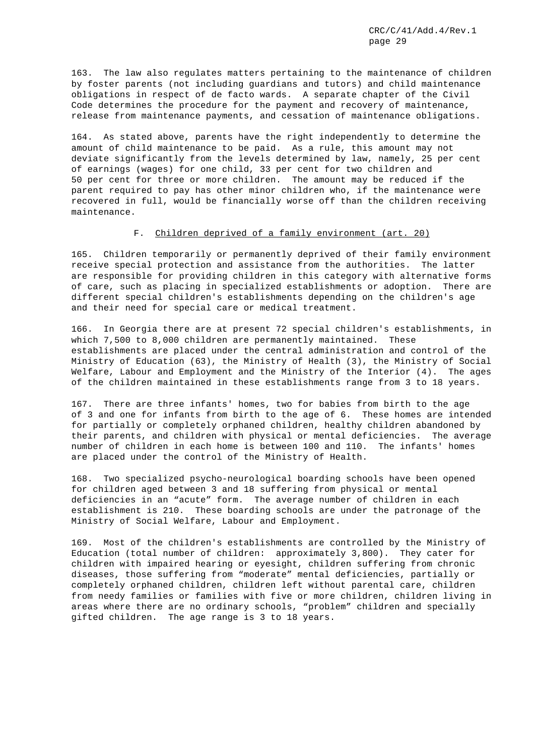163. The law also regulates matters pertaining to the maintenance of children by foster parents (not including guardians and tutors) and child maintenance obligations in respect of de facto wards. A separate chapter of the Civil Code determines the procedure for the payment and recovery of maintenance, release from maintenance payments, and cessation of maintenance obligations.

164. As stated above, parents have the right independently to determine the amount of child maintenance to be paid. As a rule, this amount may not deviate significantly from the levels determined by law, namely, 25 per cent of earnings (wages) for one child, 33 per cent for two children and 50 per cent for three or more children. The amount may be reduced if the parent required to pay has other minor children who, if the maintenance were recovered in full, would be financially worse off than the children receiving maintenance.

## F. Children deprived of a family environment (art. 20)

165. Children temporarily or permanently deprived of their family environment receive special protection and assistance from the authorities. The latter are responsible for providing children in this category with alternative forms of care, such as placing in specialized establishments or adoption. There are different special children's establishments depending on the children's age and their need for special care or medical treatment.

166. In Georgia there are at present 72 special children's establishments, in which 7,500 to 8,000 children are permanently maintained. These establishments are placed under the central administration and control of the Ministry of Education (63), the Ministry of Health (3), the Ministry of Social Welfare, Labour and Employment and the Ministry of the Interior (4). The ages of the children maintained in these establishments range from 3 to 18 years.

167. There are three infants' homes, two for babies from birth to the age of 3 and one for infants from birth to the age of 6. These homes are intended for partially or completely orphaned children, healthy children abandoned by their parents, and children with physical or mental deficiencies. The average number of children in each home is between 100 and 110. The infants' homes are placed under the control of the Ministry of Health.

168. Two specialized psycho-neurological boarding schools have been opened for children aged between 3 and 18 suffering from physical or mental deficiencies in an "acute" form. The average number of children in each establishment is 210. These boarding schools are under the patronage of the Ministry of Social Welfare, Labour and Employment.

169. Most of the children's establishments are controlled by the Ministry of Education (total number of children: approximately 3,800). They cater for children with impaired hearing or eyesight, children suffering from chronic diseases, those suffering from "moderate" mental deficiencies, partially or completely orphaned children, children left without parental care, children from needy families or families with five or more children, children living in areas where there are no ordinary schools, "problem" children and specially gifted children. The age range is 3 to 18 years.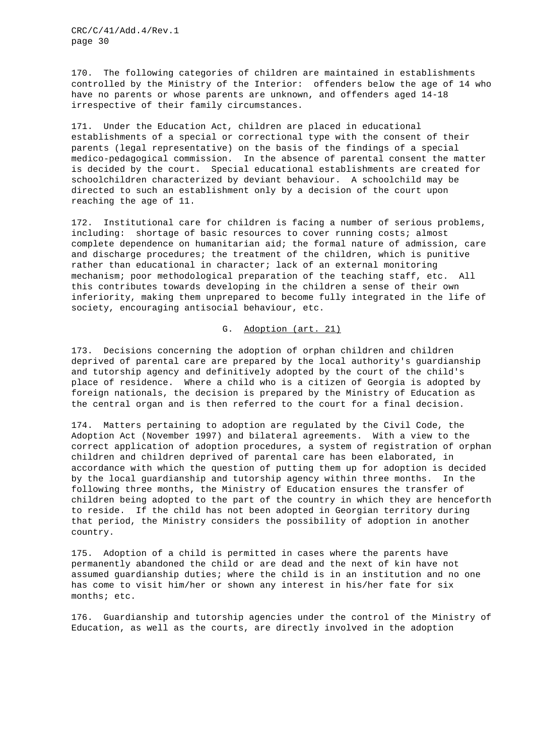170. The following categories of children are maintained in establishments controlled by the Ministry of the Interior: offenders below the age of 14 who have no parents or whose parents are unknown, and offenders aged 14-18 irrespective of their family circumstances.

171. Under the Education Act, children are placed in educational establishments of a special or correctional type with the consent of their parents (legal representative) on the basis of the findings of a special medico-pedagogical commission. In the absence of parental consent the matter is decided by the court. Special educational establishments are created for schoolchildren characterized by deviant behaviour. A schoolchild may be directed to such an establishment only by a decision of the court upon reaching the age of 11.

172. Institutional care for children is facing a number of serious problems, including: shortage of basic resources to cover running costs; almost complete dependence on humanitarian aid; the formal nature of admission, care and discharge procedures; the treatment of the children, which is punitive rather than educational in character; lack of an external monitoring mechanism; poor methodological preparation of the teaching staff, etc. All this contributes towards developing in the children a sense of their own inferiority, making them unprepared to become fully integrated in the life of society, encouraging antisocial behaviour, etc.

## G. Adoption (art. 21)

173. Decisions concerning the adoption of orphan children and children deprived of parental care are prepared by the local authority's guardianship and tutorship agency and definitively adopted by the court of the child's place of residence. Where a child who is a citizen of Georgia is adopted by foreign nationals, the decision is prepared by the Ministry of Education as the central organ and is then referred to the court for a final decision.

174. Matters pertaining to adoption are regulated by the Civil Code, the Adoption Act (November 1997) and bilateral agreements. With a view to the correct application of adoption procedures, a system of registration of orphan children and children deprived of parental care has been elaborated, in accordance with which the question of putting them up for adoption is decided by the local guardianship and tutorship agency within three months. In the following three months, the Ministry of Education ensures the transfer of children being adopted to the part of the country in which they are henceforth to reside. If the child has not been adopted in Georgian territory during that period, the Ministry considers the possibility of adoption in another country.

175. Adoption of a child is permitted in cases where the parents have permanently abandoned the child or are dead and the next of kin have not assumed guardianship duties; where the child is in an institution and no one has come to visit him/her or shown any interest in his/her fate for six months; etc.

176. Guardianship and tutorship agencies under the control of the Ministry of Education, as well as the courts, are directly involved in the adoption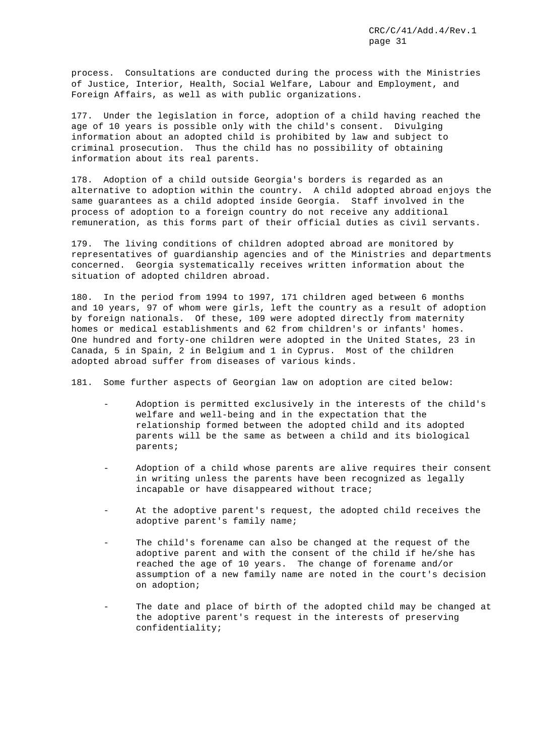process. Consultations are conducted during the process with the Ministries of Justice, Interior, Health, Social Welfare, Labour and Employment, and Foreign Affairs, as well as with public organizations.

177. Under the legislation in force, adoption of a child having reached the age of 10 years is possible only with the child's consent. Divulging information about an adopted child is prohibited by law and subject to criminal prosecution. Thus the child has no possibility of obtaining information about its real parents.

178. Adoption of a child outside Georgia's borders is regarded as an alternative to adoption within the country. A child adopted abroad enjoys the same guarantees as a child adopted inside Georgia. Staff involved in the process of adoption to a foreign country do not receive any additional remuneration, as this forms part of their official duties as civil servants.

179. The living conditions of children adopted abroad are monitored by representatives of guardianship agencies and of the Ministries and departments concerned. Georgia systematically receives written information about the situation of adopted children abroad.

180. In the period from 1994 to 1997, 171 children aged between 6 months and 10 years, 97 of whom were girls, left the country as a result of adoption by foreign nationals. Of these, 109 were adopted directly from maternity homes or medical establishments and 62 from children's or infants' homes. One hundred and forty-one children were adopted in the United States, 23 in Canada, 5 in Spain, 2 in Belgium and 1 in Cyprus. Most of the children adopted abroad suffer from diseases of various kinds.

181. Some further aspects of Georgian law on adoption are cited below:

- Adoption is permitted exclusively in the interests of the child's welfare and well-being and in the expectation that the relationship formed between the adopted child and its adopted parents will be the same as between a child and its biological parents;
- Adoption of a child whose parents are alive requires their consent in writing unless the parents have been recognized as legally incapable or have disappeared without trace;
- At the adoptive parent's request, the adopted child receives the adoptive parent's family name;
- The child's forename can also be changed at the request of the adoptive parent and with the consent of the child if he/she has reached the age of 10 years. The change of forename and/or assumption of a new family name are noted in the court's decision on adoption;
- The date and place of birth of the adopted child may be changed at the adoptive parent's request in the interests of preserving confidentiality;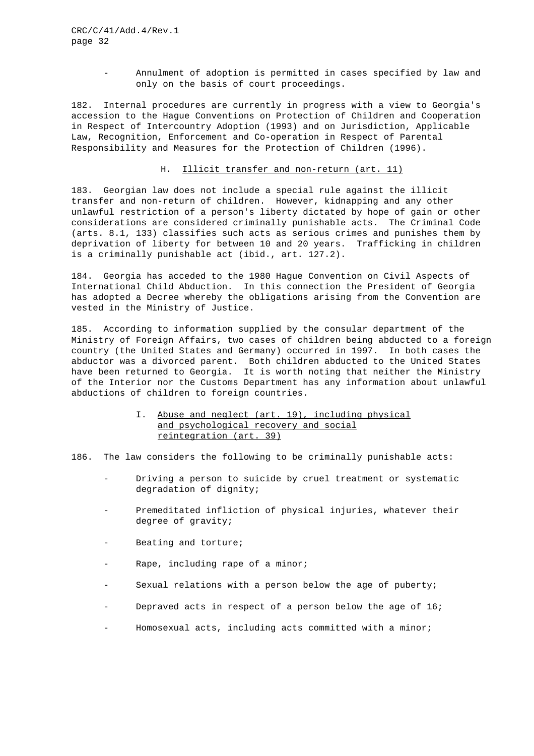- Annulment of adoption is permitted in cases specified by law and only on the basis of court proceedings.

182. Internal procedures are currently in progress with a view to Georgia's accession to the Hague Conventions on Protection of Children and Cooperation in Respect of Intercountry Adoption (1993) and on Jurisdiction, Applicable Law, Recognition, Enforcement and Co-operation in Respect of Parental Responsibility and Measures for the Protection of Children (1996).

## H. Illicit transfer and non-return (art. 11)

183. Georgian law does not include a special rule against the illicit transfer and non-return of children. However, kidnapping and any other unlawful restriction of a person's liberty dictated by hope of gain or other considerations are considered criminally punishable acts. The Criminal Code (arts. 8.1, 133) classifies such acts as serious crimes and punishes them by deprivation of liberty for between 10 and 20 years. Trafficking in children is a criminally punishable act (ibid., art. 127.2).

184. Georgia has acceded to the 1980 Hague Convention on Civil Aspects of International Child Abduction. In this connection the President of Georgia has adopted a Decree whereby the obligations arising from the Convention are vested in the Ministry of Justice.

185. According to information supplied by the consular department of the Ministry of Foreign Affairs, two cases of children being abducted to a foreign country (the United States and Germany) occurred in 1997. In both cases the abductor was a divorced parent. Both children abducted to the United States have been returned to Georgia. It is worth noting that neither the Ministry of the Interior nor the Customs Department has any information about unlawful abductions of children to foreign countries.

> I. Abuse and neglect (art. 19), including physical and psychological recovery and social reintegration (art. 39)

186. The law considers the following to be criminally punishable acts:

- Driving a person to suicide by cruel treatment or systematic degradation of dignity;
- Premeditated infliction of physical injuries, whatever their degree of gravity;
- Beating and torture;
- Rape, including rape of a minor;
- Sexual relations with a person below the age of puberty;
- Depraved acts in respect of a person below the age of 16;
- Homosexual acts, including acts committed with a minor;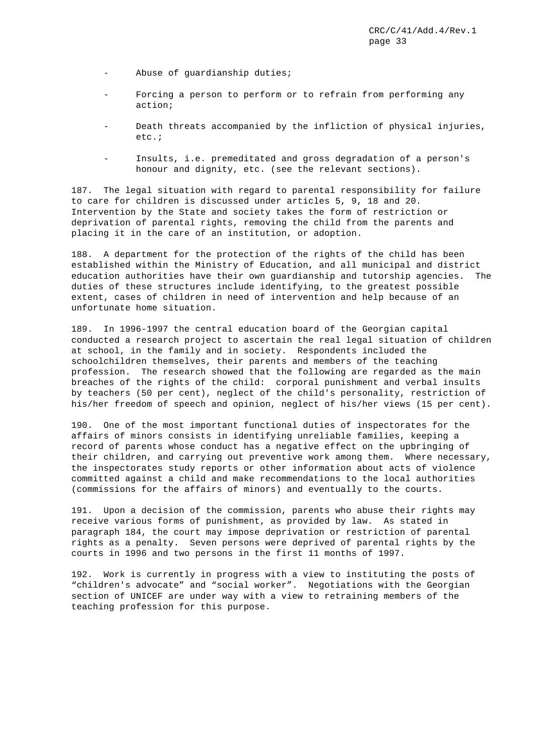- Abuse of guardianship duties;
- Forcing a person to perform or to refrain from performing any action;
- Death threats accompanied by the infliction of physical injuries, etc.;
- Insults, i.e. premeditated and gross degradation of a person's honour and dignity, etc. (see the relevant sections).

187. The legal situation with regard to parental responsibility for failure to care for children is discussed under articles 5, 9, 18 and 20. Intervention by the State and society takes the form of restriction or deprivation of parental rights, removing the child from the parents and placing it in the care of an institution, or adoption.

188. A department for the protection of the rights of the child has been established within the Ministry of Education, and all municipal and district education authorities have their own guardianship and tutorship agencies. The duties of these structures include identifying, to the greatest possible extent, cases of children in need of intervention and help because of an unfortunate home situation.

189. In 1996-1997 the central education board of the Georgian capital conducted a research project to ascertain the real legal situation of children at school, in the family and in society. Respondents included the schoolchildren themselves, their parents and members of the teaching profession. The research showed that the following are regarded as the main breaches of the rights of the child: corporal punishment and verbal insults by teachers (50 per cent), neglect of the child's personality, restriction of his/her freedom of speech and opinion, neglect of his/her views (15 per cent).

190. One of the most important functional duties of inspectorates for the affairs of minors consists in identifying unreliable families, keeping a record of parents whose conduct has a negative effect on the upbringing of their children, and carrying out preventive work among them. Where necessary, the inspectorates study reports or other information about acts of violence committed against a child and make recommendations to the local authorities (commissions for the affairs of minors) and eventually to the courts.

191. Upon a decision of the commission, parents who abuse their rights may receive various forms of punishment, as provided by law. As stated in paragraph 184, the court may impose deprivation or restriction of parental rights as a penalty. Seven persons were deprived of parental rights by the courts in 1996 and two persons in the first 11 months of 1997.

192. Work is currently in progress with a view to instituting the posts of "children's advocate" and "social worker". Negotiations with the Georgian section of UNICEF are under way with a view to retraining members of the teaching profession for this purpose.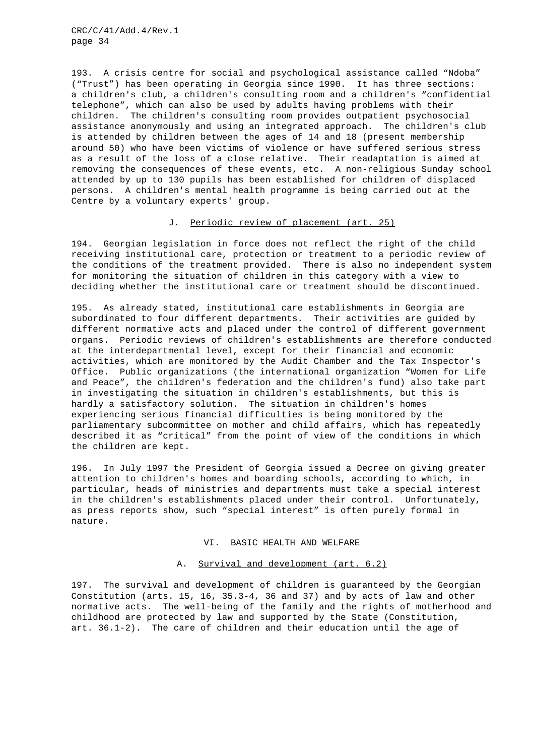193. A crisis centre for social and psychological assistance called "Ndoba" ("Trust") has been operating in Georgia since 1990. It has three sections: a children's club, a children's consulting room and a children's "confidential telephone", which can also be used by adults having problems with their children. The children's consulting room provides outpatient psychosocial assistance anonymously and using an integrated approach. The children's club is attended by children between the ages of 14 and 18 (present membership around 50) who have been victims of violence or have suffered serious stress as a result of the loss of a close relative. Their readaptation is aimed at removing the consequences of these events, etc. A non-religious Sunday school attended by up to 130 pupils has been established for children of displaced persons. A children's mental health programme is being carried out at the Centre by a voluntary experts' group.

## J. Periodic review of placement (art. 25)

194. Georgian legislation in force does not reflect the right of the child receiving institutional care, protection or treatment to a periodic review of the conditions of the treatment provided. There is also no independent system for monitoring the situation of children in this category with a view to deciding whether the institutional care or treatment should be discontinued.

195. As already stated, institutional care establishments in Georgia are subordinated to four different departments. Their activities are guided by different normative acts and placed under the control of different government organs. Periodic reviews of children's establishments are therefore conducted at the interdepartmental level, except for their financial and economic activities, which are monitored by the Audit Chamber and the Tax Inspector's Office. Public organizations (the international organization "Women for Life and Peace", the children's federation and the children's fund) also take part in investigating the situation in children's establishments, but this is hardly a satisfactory solution. The situation in children's homes experiencing serious financial difficulties is being monitored by the parliamentary subcommittee on mother and child affairs, which has repeatedly described it as "critical" from the point of view of the conditions in which the children are kept.

196. In July 1997 the President of Georgia issued a Decree on giving greater attention to children's homes and boarding schools, according to which, in particular, heads of ministries and departments must take a special interest in the children's establishments placed under their control. Unfortunately, as press reports show, such "special interest" is often purely formal in nature.

## VI. BASIC HEALTH AND WELFARE

## A. Survival and development (art. 6.2)

197. The survival and development of children is guaranteed by the Georgian Constitution (arts. 15, 16, 35.3-4, 36 and 37) and by acts of law and other normative acts. The well-being of the family and the rights of motherhood and childhood are protected by law and supported by the State (Constitution, art. 36.1-2). The care of children and their education until the age of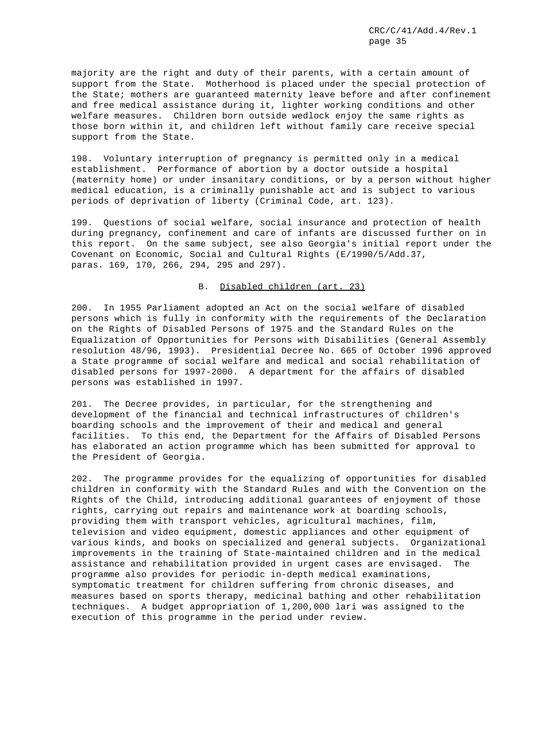majority are the right and duty of their parents, with a certain amount of support from the State. Motherhood is placed under the special protection of the State; mothers are guaranteed maternity leave before and after confinement and free medical assistance during it, lighter working conditions and other welfare measures. Children born outside wedlock enjoy the same rights as those born within it, and children left without family care receive special support from the State.

198. Voluntary interruption of pregnancy is permitted only in a medical establishment. Performance of abortion by a doctor outside a hospital (maternity home) or under insanitary conditions, or by a person without higher medical education, is a criminally punishable act and is subject to various periods of deprivation of liberty (Criminal Code, art. 123).

199. Questions of social welfare, social insurance and protection of health during pregnancy, confinement and care of infants are discussed further on in this report. On the same subject, see also Georgia's initial report under the Covenant on Economic, Social and Cultural Rights (E/1990/5/Add.37, paras. 169, 170, 266, 294, 295 and 297).

#### B. Disabled children (art. 23)

200. In 1955 Parliament adopted an Act on the social welfare of disabled persons which is fully in conformity with the requirements of the Declaration on the Rights of Disabled Persons of 1975 and the Standard Rules on the Equalization of Opportunities for Persons with Disabilities (General Assembly resolution 48/96, 1993). Presidential Decree No. 665 of October 1996 approved a State programme of social welfare and medical and social rehabilitation of disabled persons for 1997-2000. A department for the affairs of disabled persons was established in 1997.

201. The Decree provides, in particular, for the strengthening and development of the financial and technical infrastructures of children's boarding schools and the improvement of their and medical and general facilities. To this end, the Department for the Affairs of Disabled Persons has elaborated an action programme which has been submitted for approval to the President of Georgia.

202. The programme provides for the equalizing of opportunities for disabled children in conformity with the Standard Rules and with the Convention on the Rights of the Child, introducing additional guarantees of enjoyment of those rights, carrying out repairs and maintenance work at boarding schools, providing them with transport vehicles, agricultural machines, film, television and video equipment, domestic appliances and other equipment of various kinds, and books on specialized and general subjects. Organizational improvements in the training of State-maintained children and in the medical assistance and rehabilitation provided in urgent cases are envisaged. The programme also provides for periodic in-depth medical examinations, symptomatic treatment for children suffering from chronic diseases, and measures based on sports therapy, medicinal bathing and other rehabilitation techniques. A budget appropriation of 1,200,000 lari was assigned to the execution of this programme in the period under review.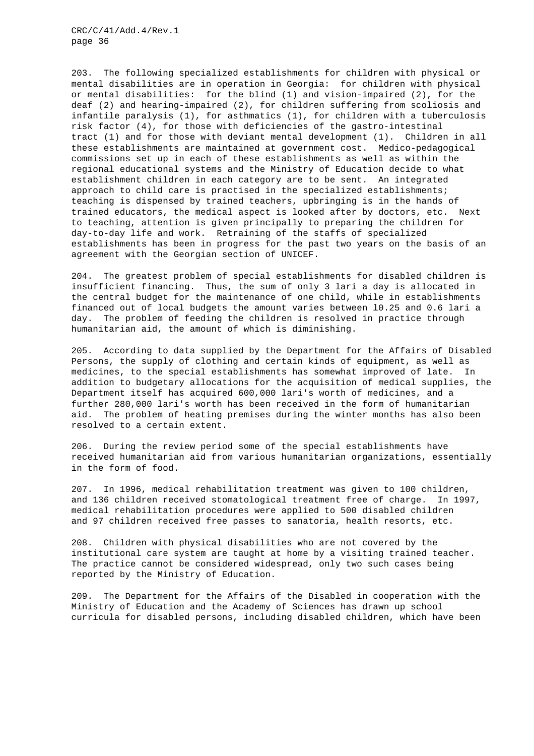203. The following specialized establishments for children with physical or mental disabilities are in operation in Georgia: for children with physical or mental disabilities: for the blind (1) and vision-impaired (2), for the deaf (2) and hearing-impaired (2), for children suffering from scoliosis and infantile paralysis (1), for asthmatics (1), for children with a tuberculosis risk factor (4), for those with deficiencies of the gastro-intestinal tract (1) and for those with deviant mental development (1). Children in all these establishments are maintained at government cost. Medico-pedagogical commissions set up in each of these establishments as well as within the regional educational systems and the Ministry of Education decide to what establishment children in each category are to be sent. An integrated approach to child care is practised in the specialized establishments; teaching is dispensed by trained teachers, upbringing is in the hands of trained educators, the medical aspect is looked after by doctors, etc. Next to teaching, attention is given principally to preparing the children for day-to-day life and work. Retraining of the staffs of specialized establishments has been in progress for the past two years on the basis of an agreement with the Georgian section of UNICEF.

204. The greatest problem of special establishments for disabled children is insufficient financing. Thus, the sum of only 3 lari a day is allocated in the central budget for the maintenance of one child, while in establishments financed out of local budgets the amount varies between l0.25 and 0.6 lari a day. The problem of feeding the children is resolved in practice through humanitarian aid, the amount of which is diminishing.

205. According to data supplied by the Department for the Affairs of Disabled Persons, the supply of clothing and certain kinds of equipment, as well as medicines, to the special establishments has somewhat improved of late. In addition to budgetary allocations for the acquisition of medical supplies, the Department itself has acquired 600,000 lari's worth of medicines, and a further 280,000 lari's worth has been received in the form of humanitarian aid. The problem of heating premises during the winter months has also been resolved to a certain extent.

206. During the review period some of the special establishments have received humanitarian aid from various humanitarian organizations, essentially in the form of food.

207. In 1996, medical rehabilitation treatment was given to 100 children, and 136 children received stomatological treatment free of charge. In 1997, medical rehabilitation procedures were applied to 500 disabled children and 97 children received free passes to sanatoria, health resorts, etc.

208. Children with physical disabilities who are not covered by the institutional care system are taught at home by a visiting trained teacher. The practice cannot be considered widespread, only two such cases being reported by the Ministry of Education.

209. The Department for the Affairs of the Disabled in cooperation with the Ministry of Education and the Academy of Sciences has drawn up school curricula for disabled persons, including disabled children, which have been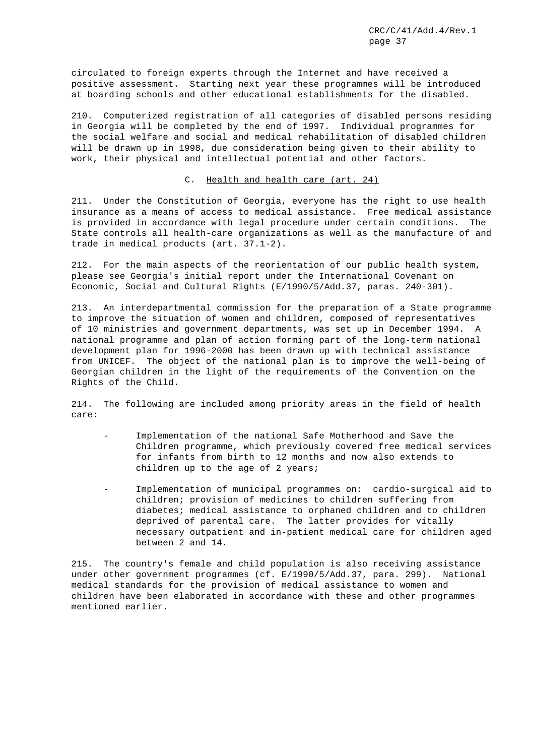circulated to foreign experts through the Internet and have received a positive assessment. Starting next year these programmes will be introduced at boarding schools and other educational establishments for the disabled.

210. Computerized registration of all categories of disabled persons residing in Georgia will be completed by the end of 1997. Individual programmes for the social welfare and social and medical rehabilitation of disabled children will be drawn up in 1998, due consideration being given to their ability to work, their physical and intellectual potential and other factors.

#### C. Health and health care (art. 24)

211. Under the Constitution of Georgia, everyone has the right to use health insurance as a means of access to medical assistance. Free medical assistance is provided in accordance with legal procedure under certain conditions. The State controls all health-care organizations as well as the manufacture of and trade in medical products (art. 37.1-2).

212. For the main aspects of the reorientation of our public health system, please see Georgia's initial report under the International Covenant on Economic, Social and Cultural Rights (E/1990/5/Add.37, paras. 240-301).

213. An interdepartmental commission for the preparation of a State programme to improve the situation of women and children, composed of representatives of 10 ministries and government departments, was set up in December 1994. A national programme and plan of action forming part of the long-term national development plan for 1996-2000 has been drawn up with technical assistance from UNICEF. The object of the national plan is to improve the well-being of Georgian children in the light of the requirements of the Convention on the Rights of the Child.

214. The following are included among priority areas in the field of health care:

- Implementation of the national Safe Motherhood and Save the Children programme, which previously covered free medical services for infants from birth to 12 months and now also extends to children up to the age of 2 years;
- Implementation of municipal programmes on: cardio-surgical aid to children; provision of medicines to children suffering from diabetes; medical assistance to orphaned children and to children deprived of parental care. The latter provides for vitally necessary outpatient and in-patient medical care for children aged between 2 and 14.

215. The country's female and child population is also receiving assistance under other government programmes (cf. E/1990/5/Add.37, para. 299). National medical standards for the provision of medical assistance to women and children have been elaborated in accordance with these and other programmes mentioned earlier.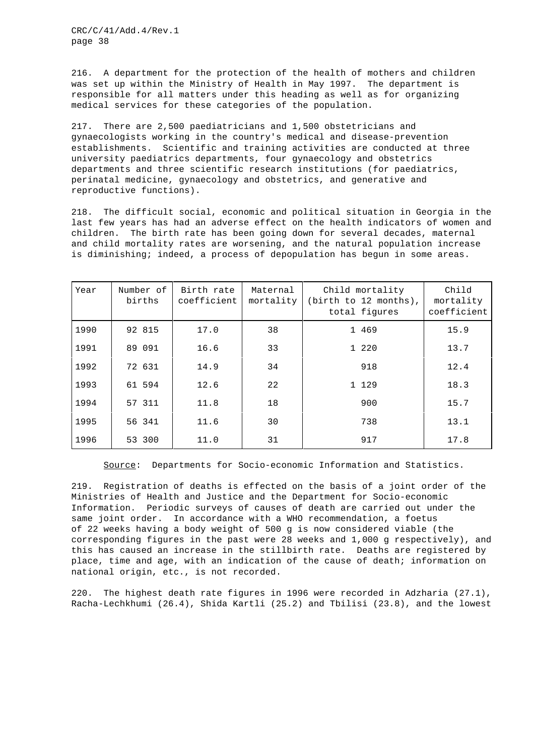216. A department for the protection of the health of mothers and children was set up within the Ministry of Health in May 1997. The department is responsible for all matters under this heading as well as for organizing medical services for these categories of the population.

217. There are 2,500 paediatricians and 1,500 obstetricians and gynaecologists working in the country's medical and disease-prevention establishments. Scientific and training activities are conducted at three university paediatrics departments, four gynaecology and obstetrics departments and three scientific research institutions (for paediatrics, perinatal medicine, gynaecology and obstetrics, and generative and reproductive functions).

218. The difficult social, economic and political situation in Georgia in the last few years has had an adverse effect on the health indicators of women and children. The birth rate has been going down for several decades, maternal and child mortality rates are worsening, and the natural population increase is diminishing; indeed, a process of depopulation has begun in some areas.

| Year | Number of<br>births | Birth rate<br>coefficient | Maternal<br>mortality | Child mortality<br>(birth to 12 months),<br>total figures | Child<br>mortality<br>coefficient |
|------|---------------------|---------------------------|-----------------------|-----------------------------------------------------------|-----------------------------------|
| 1990 | 92 815              | 17.0                      | 38                    | 1 469                                                     | 15.9                              |
| 1991 | 89 091              | 16.6                      | 33                    | 1 2 2 0                                                   | 13.7                              |
| 1992 | 72 631              | 14.9                      | 34                    | 918                                                       | 12.4                              |
| 1993 | 61 594              | 12.6                      | 22                    | 1 129                                                     | 18.3                              |
| 1994 | 57 311              | 11.8                      | 18                    | 900                                                       | 15.7                              |
| 1995 | 56 341              | 11.6                      | 30                    | 738                                                       | 13.1                              |
| 1996 | 53 300              | 11.0                      | 31                    | 917                                                       | 17.8                              |

Source: Departments for Socio-economic Information and Statistics.

219. Registration of deaths is effected on the basis of a joint order of the Ministries of Health and Justice and the Department for Socio-economic Information. Periodic surveys of causes of death are carried out under the same joint order. In accordance with a WHO recommendation, a foetus of 22 weeks having a body weight of 500 g is now considered viable (the corresponding figures in the past were 28 weeks and 1,000 g respectively), and this has caused an increase in the stillbirth rate. Deaths are registered by place, time and age, with an indication of the cause of death; information on national origin, etc., is not recorded.

220. The highest death rate figures in 1996 were recorded in Adzharia (27.1), Racha-Lechkhumi (26.4), Shida Kartli (25.2) and Tbilisi (23.8), and the lowest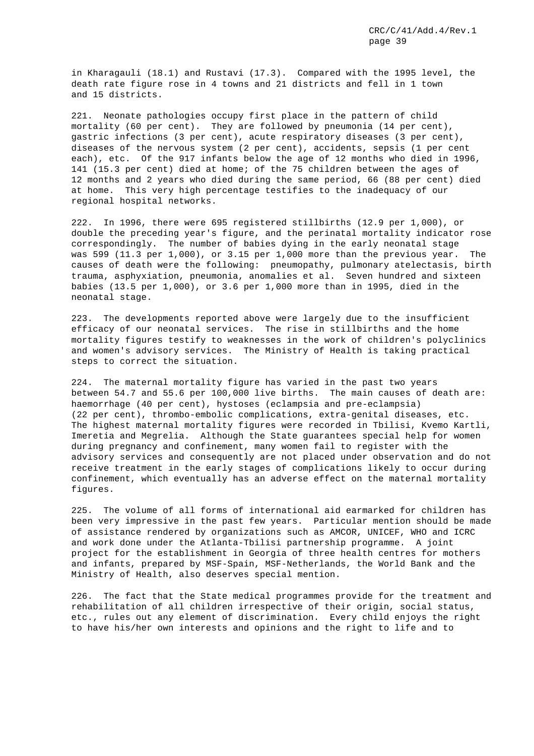in Kharagauli (18.1) and Rustavi (17.3). Compared with the 1995 level, the death rate figure rose in 4 towns and 21 districts and fell in 1 town and 15 districts.

221. Neonate pathologies occupy first place in the pattern of child mortality (60 per cent). They are followed by pneumonia (14 per cent), gastric infections (3 per cent), acute respiratory diseases (3 per cent), diseases of the nervous system (2 per cent), accidents, sepsis (1 per cent each), etc. Of the 917 infants below the age of 12 months who died in 1996, 141 (15.3 per cent) died at home; of the 75 children between the ages of 12 months and 2 years who died during the same period, 66 (88 per cent) died at home. This very high percentage testifies to the inadequacy of our regional hospital networks.

222. In 1996, there were 695 registered stillbirths (12.9 per 1,000), or double the preceding year's figure, and the perinatal mortality indicator rose correspondingly. The number of babies dying in the early neonatal stage was 599 (11.3 per 1,000), or 3.15 per 1,000 more than the previous year. The causes of death were the following: pneumopathy, pulmonary atelectasis, birth trauma, asphyxiation, pneumonia, anomalies et al. Seven hundred and sixteen babies (13.5 per 1,000), or 3.6 per 1,000 more than in 1995, died in the neonatal stage.

223. The developments reported above were largely due to the insufficient efficacy of our neonatal services. The rise in stillbirths and the home mortality figures testify to weaknesses in the work of children's polyclinics and women's advisory services. The Ministry of Health is taking practical steps to correct the situation.

224. The maternal mortality figure has varied in the past two years between 54.7 and 55.6 per 100,000 live births. The main causes of death are: haemorrhage (40 per cent), hystoses (eclampsia and pre-eclampsia) (22 per cent), thrombo-embolic complications, extra-genital diseases, etc. The highest maternal mortality figures were recorded in Tbilisi, Kvemo Kartli, Imeretia and Megrelia. Although the State guarantees special help for women during pregnancy and confinement, many women fail to register with the advisory services and consequently are not placed under observation and do not receive treatment in the early stages of complications likely to occur during confinement, which eventually has an adverse effect on the maternal mortality figures.

225. The volume of all forms of international aid earmarked for children has been very impressive in the past few years. Particular mention should be made of assistance rendered by organizations such as AMCOR, UNICEF, WHO and ICRC and work done under the Atlanta-Tbilisi partnership programme. A joint project for the establishment in Georgia of three health centres for mothers and infants, prepared by MSF-Spain, MSF-Netherlands, the World Bank and the Ministry of Health, also deserves special mention.

226. The fact that the State medical programmes provide for the treatment and rehabilitation of all children irrespective of their origin, social status, etc., rules out any element of discrimination. Every child enjoys the right to have his/her own interests and opinions and the right to life and to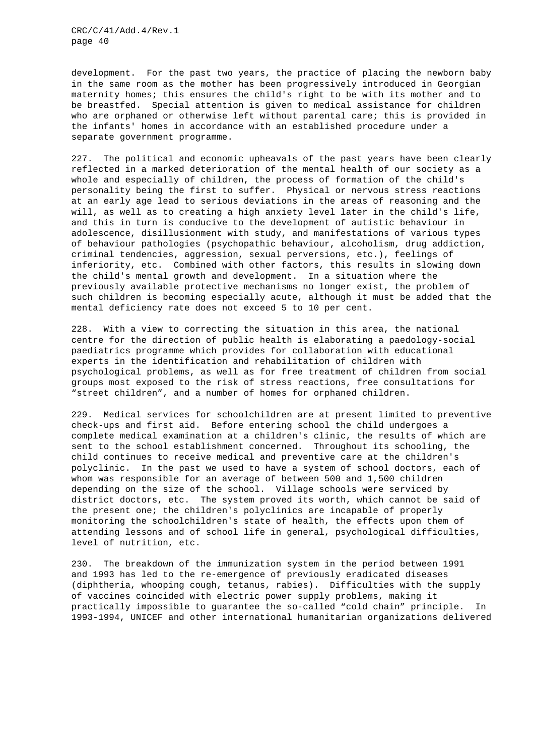development. For the past two years, the practice of placing the newborn baby in the same room as the mother has been progressively introduced in Georgian maternity homes; this ensures the child's right to be with its mother and to be breastfed. Special attention is given to medical assistance for children who are orphaned or otherwise left without parental care; this is provided in the infants' homes in accordance with an established procedure under a separate government programme.

227. The political and economic upheavals of the past years have been clearly reflected in a marked deterioration of the mental health of our society as a whole and especially of children, the process of formation of the child's personality being the first to suffer. Physical or nervous stress reactions at an early age lead to serious deviations in the areas of reasoning and the will, as well as to creating a high anxiety level later in the child's life, and this in turn is conducive to the development of autistic behaviour in adolescence, disillusionment with study, and manifestations of various types of behaviour pathologies (psychopathic behaviour, alcoholism, drug addiction, criminal tendencies, aggression, sexual perversions, etc.), feelings of inferiority, etc. Combined with other factors, this results in slowing down the child's mental growth and development. In a situation where the previously available protective mechanisms no longer exist, the problem of such children is becoming especially acute, although it must be added that the mental deficiency rate does not exceed 5 to 10 per cent.

228. With a view to correcting the situation in this area, the national centre for the direction of public health is elaborating a paedology-social paediatrics programme which provides for collaboration with educational experts in the identification and rehabilitation of children with psychological problems, as well as for free treatment of children from social groups most exposed to the risk of stress reactions, free consultations for "street children", and a number of homes for orphaned children.

229. Medical services for schoolchildren are at present limited to preventive check-ups and first aid. Before entering school the child undergoes a complete medical examination at a children's clinic, the results of which are sent to the school establishment concerned. Throughout its schooling, the child continues to receive medical and preventive care at the children's polyclinic. In the past we used to have a system of school doctors, each of whom was responsible for an average of between 500 and 1,500 children depending on the size of the school. Village schools were serviced by district doctors, etc. The system proved its worth, which cannot be said of the present one; the children's polyclinics are incapable of properly monitoring the schoolchildren's state of health, the effects upon them of attending lessons and of school life in general, psychological difficulties, level of nutrition, etc.

230. The breakdown of the immunization system in the period between 1991 and 1993 has led to the re-emergence of previously eradicated diseases (diphtheria, whooping cough, tetanus, rabies). Difficulties with the supply of vaccines coincided with electric power supply problems, making it practically impossible to guarantee the so-called "cold chain" principle. In 1993-1994, UNICEF and other international humanitarian organizations delivered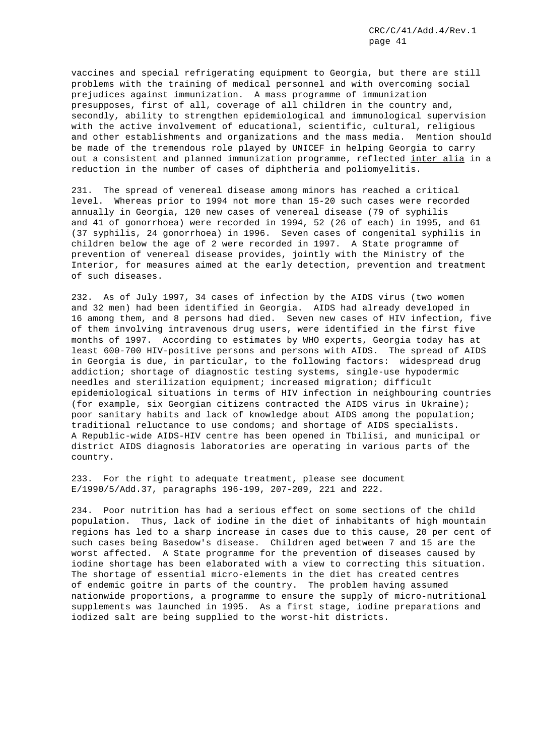vaccines and special refrigerating equipment to Georgia, but there are still problems with the training of medical personnel and with overcoming social prejudices against immunization. A mass programme of immunization presupposes, first of all, coverage of all children in the country and, secondly, ability to strengthen epidemiological and immunological supervision with the active involvement of educational, scientific, cultural, religious and other establishments and organizations and the mass media. Mention should be made of the tremendous role played by UNICEF in helping Georgia to carry out a consistent and planned immunization programme, reflected inter alia in a reduction in the number of cases of diphtheria and poliomyelitis.

231. The spread of venereal disease among minors has reached a critical level. Whereas prior to 1994 not more than 15-20 such cases were recorded annually in Georgia, 120 new cases of venereal disease (79 of syphilis and 41 of gonorrhoea) were recorded in 1994, 52 (26 of each) in 1995, and 61 (37 syphilis, 24 gonorrhoea) in 1996. Seven cases of congenital syphilis in children below the age of 2 were recorded in 1997. A State programme of prevention of venereal disease provides, jointly with the Ministry of the Interior, for measures aimed at the early detection, prevention and treatment of such diseases.

232. As of July 1997, 34 cases of infection by the AIDS virus (two women and 32 men) had been identified in Georgia. AIDS had already developed in 16 among them, and 8 persons had died. Seven new cases of HIV infection, five of them involving intravenous drug users, were identified in the first five months of 1997. According to estimates by WHO experts, Georgia today has at least 600-700 HIV-positive persons and persons with AIDS. The spread of AIDS in Georgia is due, in particular, to the following factors: widespread drug addiction; shortage of diagnostic testing systems, single-use hypodermic needles and sterilization equipment; increased migration; difficult epidemiological situations in terms of HIV infection in neighbouring countries (for example, six Georgian citizens contracted the AIDS virus in Ukraine); poor sanitary habits and lack of knowledge about AIDS among the population; traditional reluctance to use condoms; and shortage of AIDS specialists. A Republic-wide AIDS-HIV centre has been opened in Tbilisi, and municipal or district AIDS diagnosis laboratories are operating in various parts of the country.

233. For the right to adequate treatment, please see document E/1990/5/Add.37, paragraphs 196-199, 207-209, 221 and 222.

234. Poor nutrition has had a serious effect on some sections of the child population. Thus, lack of iodine in the diet of inhabitants of high mountain regions has led to a sharp increase in cases due to this cause, 20 per cent of such cases being Basedow's disease. Children aged between 7 and 15 are the worst affected. A State programme for the prevention of diseases caused by iodine shortage has been elaborated with a view to correcting this situation. The shortage of essential micro-elements in the diet has created centres of endemic goitre in parts of the country. The problem having assumed nationwide proportions, a programme to ensure the supply of micro-nutritional supplements was launched in 1995. As a first stage, iodine preparations and iodized salt are being supplied to the worst-hit districts.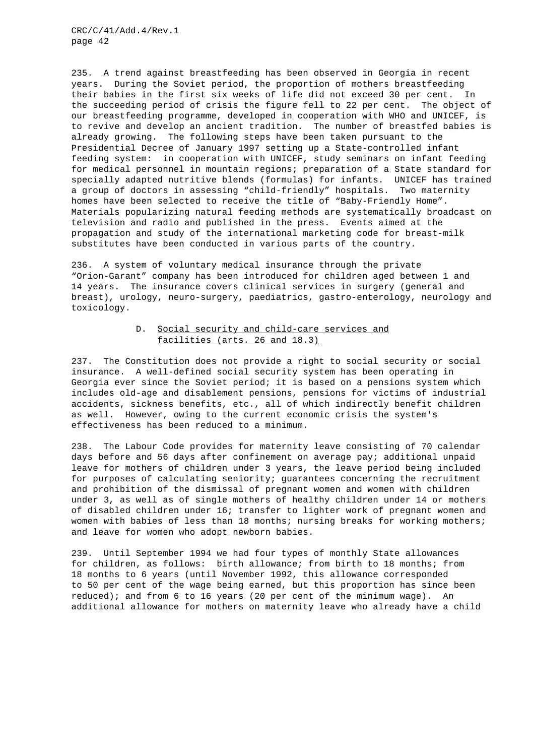235. A trend against breastfeeding has been observed in Georgia in recent years. During the Soviet period, the proportion of mothers breastfeeding their babies in the first six weeks of life did not exceed 30 per cent. In the succeeding period of crisis the figure fell to 22 per cent. The object of our breastfeeding programme, developed in cooperation with WHO and UNICEF, is to revive and develop an ancient tradition. The number of breastfed babies is already growing. The following steps have been taken pursuant to the Presidential Decree of January 1997 setting up a State-controlled infant feeding system: in cooperation with UNICEF, study seminars on infant feeding for medical personnel in mountain regions; preparation of a State standard for specially adapted nutritive blends (formulas) for infants. UNICEF has trained a group of doctors in assessing "child-friendly" hospitals. Two maternity homes have been selected to receive the title of "Baby-Friendly Home". Materials popularizing natural feeding methods are systematically broadcast on television and radio and published in the press. Events aimed at the propagation and study of the international marketing code for breast-milk substitutes have been conducted in various parts of the country.

236. A system of voluntary medical insurance through the private "Orion-Garant" company has been introduced for children aged between 1 and 14 years. The insurance covers clinical services in surgery (general and breast), urology, neuro-surgery, paediatrics, gastro-enterology, neurology and toxicology.

## D. Social security and child-care services and facilities (arts. 26 and 18.3)

237. The Constitution does not provide a right to social security or social insurance. A well-defined social security system has been operating in Georgia ever since the Soviet period; it is based on a pensions system which includes old-age and disablement pensions, pensions for victims of industrial accidents, sickness benefits, etc., all of which indirectly benefit children as well. However, owing to the current economic crisis the system's effectiveness has been reduced to a minimum.

238. The Labour Code provides for maternity leave consisting of 70 calendar days before and 56 days after confinement on average pay; additional unpaid leave for mothers of children under 3 years, the leave period being included for purposes of calculating seniority; guarantees concerning the recruitment and prohibition of the dismissal of pregnant women and women with children under 3, as well as of single mothers of healthy children under 14 or mothers of disabled children under 16; transfer to lighter work of pregnant women and women with babies of less than 18 months; nursing breaks for working mothers; and leave for women who adopt newborn babies.

239. Until September 1994 we had four types of monthly State allowances for children, as follows: birth allowance; from birth to 18 months; from 18 months to 6 years (until November 1992, this allowance corresponded to 50 per cent of the wage being earned, but this proportion has since been reduced); and from 6 to 16 years (20 per cent of the minimum wage). An additional allowance for mothers on maternity leave who already have a child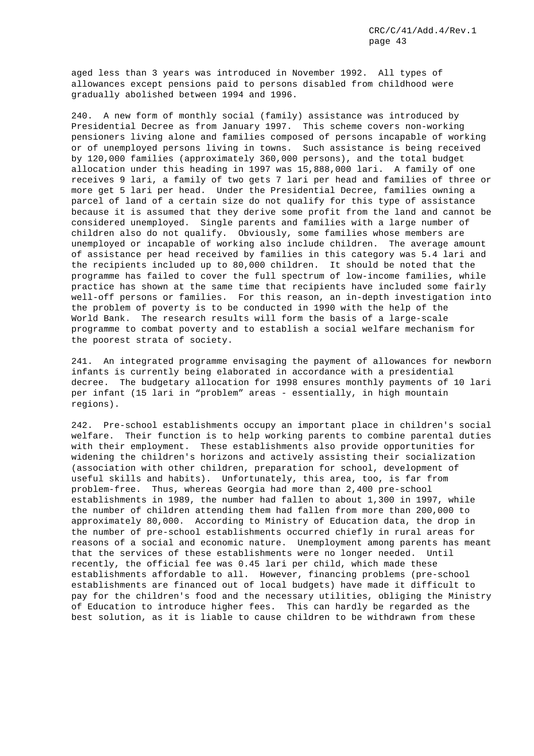aged less than 3 years was introduced in November 1992. All types of allowances except pensions paid to persons disabled from childhood were gradually abolished between 1994 and 1996.

240. A new form of monthly social (family) assistance was introduced by Presidential Decree as from January 1997. This scheme covers non-working pensioners living alone and families composed of persons incapable of working or of unemployed persons living in towns. Such assistance is being received by 120,000 families (approximately 360,000 persons), and the total budget allocation under this heading in 1997 was 15,888,000 lari. A family of one receives 9 lari, a family of two gets 7 lari per head and families of three or more get 5 lari per head. Under the Presidential Decree, families owning a parcel of land of a certain size do not qualify for this type of assistance because it is assumed that they derive some profit from the land and cannot be considered unemployed. Single parents and families with a large number of children also do not qualify. Obviously, some families whose members are unemployed or incapable of working also include children. The average amount of assistance per head received by families in this category was 5.4 lari and the recipients included up to 80,000 children. It should be noted that the programme has failed to cover the full spectrum of low-income families, while practice has shown at the same time that recipients have included some fairly well-off persons or families. For this reason, an in-depth investigation into the problem of poverty is to be conducted in 1990 with the help of the World Bank. The research results will form the basis of a large-scale programme to combat poverty and to establish a social welfare mechanism for the poorest strata of society.

241. An integrated programme envisaging the payment of allowances for newborn infants is currently being elaborated in accordance with a presidential decree. The budgetary allocation for 1998 ensures monthly payments of 10 lari per infant (15 lari in "problem" areas - essentially, in high mountain regions).

242. Pre-school establishments occupy an important place in children's social welfare. Their function is to help working parents to combine parental duties with their employment. These establishments also provide opportunities for widening the children's horizons and actively assisting their socialization (association with other children, preparation for school, development of useful skills and habits). Unfortunately, this area, too, is far from problem-free. Thus, whereas Georgia had more than 2,400 pre-school establishments in 1989, the number had fallen to about 1,300 in 1997, while the number of children attending them had fallen from more than 200,000 to approximately 80,000. According to Ministry of Education data, the drop in the number of pre-school establishments occurred chiefly in rural areas for reasons of a social and economic nature. Unemployment among parents has meant that the services of these establishments were no longer needed. Until recently, the official fee was 0.45 lari per child, which made these establishments affordable to all. However, financing problems (pre-school establishments are financed out of local budgets) have made it difficult to pay for the children's food and the necessary utilities, obliging the Ministry of Education to introduce higher fees. This can hardly be regarded as the best solution, as it is liable to cause children to be withdrawn from these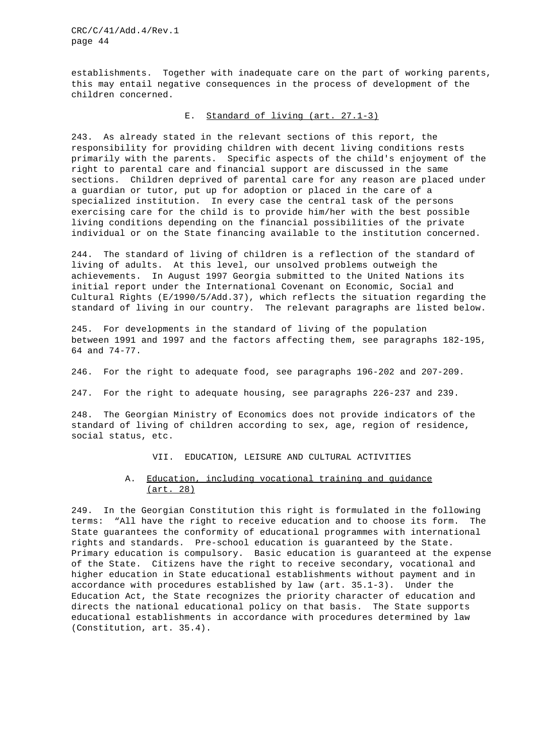establishments. Together with inadequate care on the part of working parents, this may entail negative consequences in the process of development of the children concerned.

## E. Standard of living (art. 27.1-3)

243. As already stated in the relevant sections of this report, the responsibility for providing children with decent living conditions rests primarily with the parents. Specific aspects of the child's enjoyment of the right to parental care and financial support are discussed in the same sections. Children deprived of parental care for any reason are placed under a guardian or tutor, put up for adoption or placed in the care of a specialized institution. In every case the central task of the persons exercising care for the child is to provide him/her with the best possible living conditions depending on the financial possibilities of the private individual or on the State financing available to the institution concerned.

244. The standard of living of children is a reflection of the standard of living of adults. At this level, our unsolved problems outweigh the achievements. In August 1997 Georgia submitted to the United Nations its initial report under the International Covenant on Economic, Social and Cultural Rights (E/1990/5/Add.37), which reflects the situation regarding the standard of living in our country. The relevant paragraphs are listed below.

245. For developments in the standard of living of the population between 1991 and 1997 and the factors affecting them, see paragraphs 182-195, 64 and 74-77.

246. For the right to adequate food, see paragraphs 196-202 and 207-209.

247. For the right to adequate housing, see paragraphs 226-237 and 239.

248. The Georgian Ministry of Economics does not provide indicators of the standard of living of children according to sex, age, region of residence, social status, etc.

VII. EDUCATION, LEISURE AND CULTURAL ACTIVITIES

## A. Education, including vocational training and guidance (art. 28)

249. In the Georgian Constitution this right is formulated in the following terms: "All have the right to receive education and to choose its form. The State guarantees the conformity of educational programmes with international rights and standards. Pre-school education is guaranteed by the State. Primary education is compulsory. Basic education is guaranteed at the expense of the State. Citizens have the right to receive secondary, vocational and higher education in State educational establishments without payment and in accordance with procedures established by law (art. 35.1-3). Under the Education Act, the State recognizes the priority character of education and directs the national educational policy on that basis. The State supports educational establishments in accordance with procedures determined by law (Constitution, art. 35.4).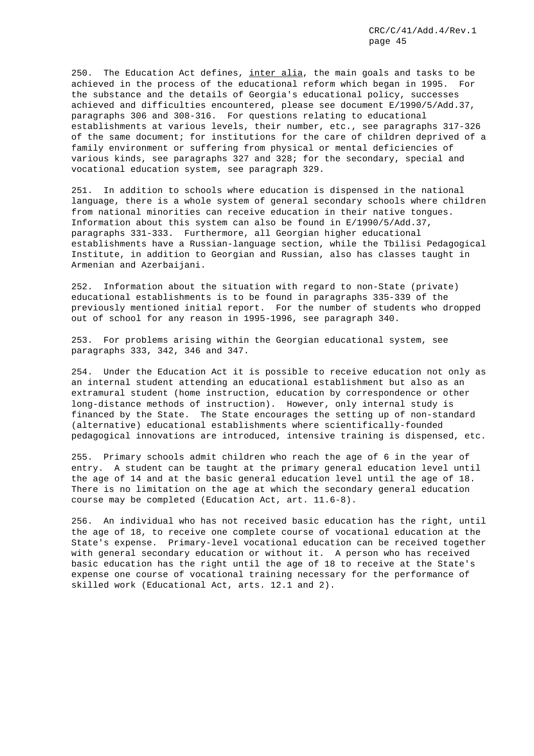250. The Education Act defines, inter alia, the main goals and tasks to be achieved in the process of the educational reform which began in 1995. For the substance and the details of Georgia's educational policy, successes achieved and difficulties encountered, please see document E/1990/5/Add.37, paragraphs 306 and 308-316. For questions relating to educational establishments at various levels, their number, etc., see paragraphs 317-326 of the same document; for institutions for the care of children deprived of a family environment or suffering from physical or mental deficiencies of various kinds, see paragraphs 327 and 328; for the secondary, special and vocational education system, see paragraph 329.

251. In addition to schools where education is dispensed in the national language, there is a whole system of general secondary schools where children from national minorities can receive education in their native tongues. Information about this system can also be found in E/1990/5/Add.37, paragraphs 331-333. Furthermore, all Georgian higher educational establishments have a Russian-language section, while the Tbilisi Pedagogical Institute, in addition to Georgian and Russian, also has classes taught in Armenian and Azerbaijani.

252. Information about the situation with regard to non-State (private) educational establishments is to be found in paragraphs 335-339 of the previously mentioned initial report. For the number of students who dropped out of school for any reason in 1995-1996, see paragraph 340.

253. For problems arising within the Georgian educational system, see paragraphs 333, 342, 346 and 347.

254. Under the Education Act it is possible to receive education not only as an internal student attending an educational establishment but also as an extramural student (home instruction, education by correspondence or other long-distance methods of instruction). However, only internal study is financed by the State. The State encourages the setting up of non-standard (alternative) educational establishments where scientifically-founded pedagogical innovations are introduced, intensive training is dispensed, etc.

255. Primary schools admit children who reach the age of 6 in the year of entry. A student can be taught at the primary general education level until the age of 14 and at the basic general education level until the age of 18. There is no limitation on the age at which the secondary general education course may be completed (Education Act, art. 11.6-8).

256. An individual who has not received basic education has the right, until the age of 18, to receive one complete course of vocational education at the State's expense. Primary-level vocational education can be received together with general secondary education or without it. A person who has received basic education has the right until the age of 18 to receive at the State's expense one course of vocational training necessary for the performance of skilled work (Educational Act, arts. 12.1 and 2).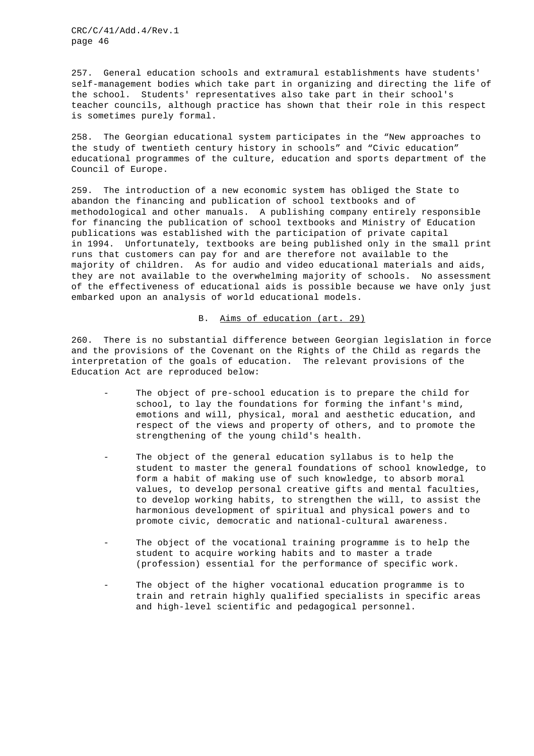257. General education schools and extramural establishments have students' self-management bodies which take part in organizing and directing the life of the school. Students' representatives also take part in their school's teacher councils, although practice has shown that their role in this respect is sometimes purely formal.

258. The Georgian educational system participates in the "New approaches to the study of twentieth century history in schools" and "Civic education" educational programmes of the culture, education and sports department of the Council of Europe.

259. The introduction of a new economic system has obliged the State to abandon the financing and publication of school textbooks and of methodological and other manuals. A publishing company entirely responsible for financing the publication of school textbooks and Ministry of Education publications was established with the participation of private capital in 1994. Unfortunately, textbooks are being published only in the small print runs that customers can pay for and are therefore not available to the majority of children. As for audio and video educational materials and aids, they are not available to the overwhelming majority of schools. No assessment of the effectiveness of educational aids is possible because we have only just embarked upon an analysis of world educational models.

## B. Aims of education (art. 29)

260. There is no substantial difference between Georgian legislation in force and the provisions of the Covenant on the Rights of the Child as regards the interpretation of the goals of education. The relevant provisions of the Education Act are reproduced below:

- The object of pre-school education is to prepare the child for school, to lay the foundations for forming the infant's mind, emotions and will, physical, moral and aesthetic education, and respect of the views and property of others, and to promote the strengthening of the young child's health.
- The object of the general education syllabus is to help the student to master the general foundations of school knowledge, to form a habit of making use of such knowledge, to absorb moral values, to develop personal creative gifts and mental faculties, to develop working habits, to strengthen the will, to assist the harmonious development of spiritual and physical powers and to promote civic, democratic and national-cultural awareness.
- The object of the vocational training programme is to help the student to acquire working habits and to master a trade (profession) essential for the performance of specific work.
- The object of the higher vocational education programme is to train and retrain highly qualified specialists in specific areas and high-level scientific and pedagogical personnel.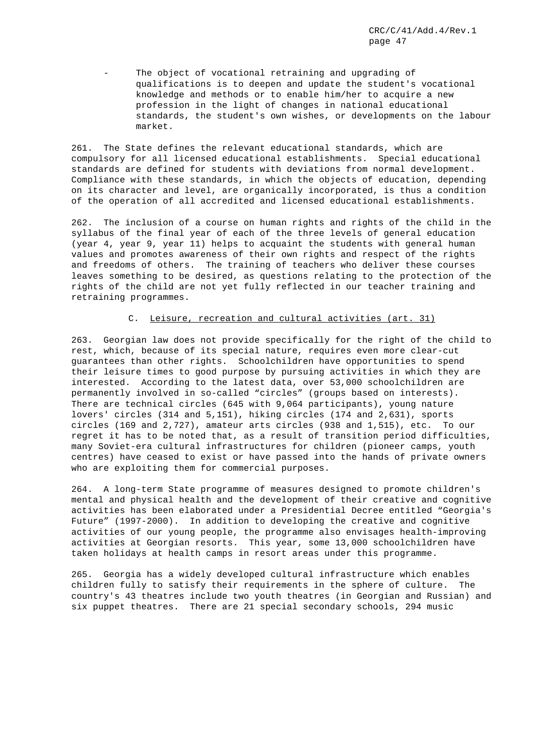The object of vocational retraining and upgrading of qualifications is to deepen and update the student's vocational knowledge and methods or to enable him/her to acquire a new profession in the light of changes in national educational standards, the student's own wishes, or developments on the labour market.

261. The State defines the relevant educational standards, which are compulsory for all licensed educational establishments. Special educational standards are defined for students with deviations from normal development. Compliance with these standards, in which the objects of education, depending on its character and level, are organically incorporated, is thus a condition of the operation of all accredited and licensed educational establishments.

262. The inclusion of a course on human rights and rights of the child in the syllabus of the final year of each of the three levels of general education (year 4, year 9, year 11) helps to acquaint the students with general human values and promotes awareness of their own rights and respect of the rights and freedoms of others. The training of teachers who deliver these courses leaves something to be desired, as questions relating to the protection of the rights of the child are not yet fully reflected in our teacher training and retraining programmes.

## C. Leisure, recreation and cultural activities (art. 31)

263. Georgian law does not provide specifically for the right of the child to rest, which, because of its special nature, requires even more clear-cut guarantees than other rights. Schoolchildren have opportunities to spend their leisure times to good purpose by pursuing activities in which they are interested. According to the latest data, over 53,000 schoolchildren are permanently involved in so-called "circles" (groups based on interests). There are technical circles (645 with 9,064 participants), young nature lovers' circles (314 and 5,151), hiking circles (174 and 2,631), sports circles (169 and 2,727), amateur arts circles (938 and 1,515), etc. To our regret it has to be noted that, as a result of transition period difficulties, many Soviet-era cultural infrastructures for children (pioneer camps, youth centres) have ceased to exist or have passed into the hands of private owners who are exploiting them for commercial purposes.

264. A long-term State programme of measures designed to promote children's mental and physical health and the development of their creative and cognitive activities has been elaborated under a Presidential Decree entitled "Georgia's Future" (1997-2000). In addition to developing the creative and cognitive activities of our young people, the programme also envisages health-improving activities at Georgian resorts. This year, some 13,000 schoolchildren have taken holidays at health camps in resort areas under this programme.

265. Georgia has a widely developed cultural infrastructure which enables children fully to satisfy their requirements in the sphere of culture. The country's 43 theatres include two youth theatres (in Georgian and Russian) and six puppet theatres. There are 21 special secondary schools, 294 music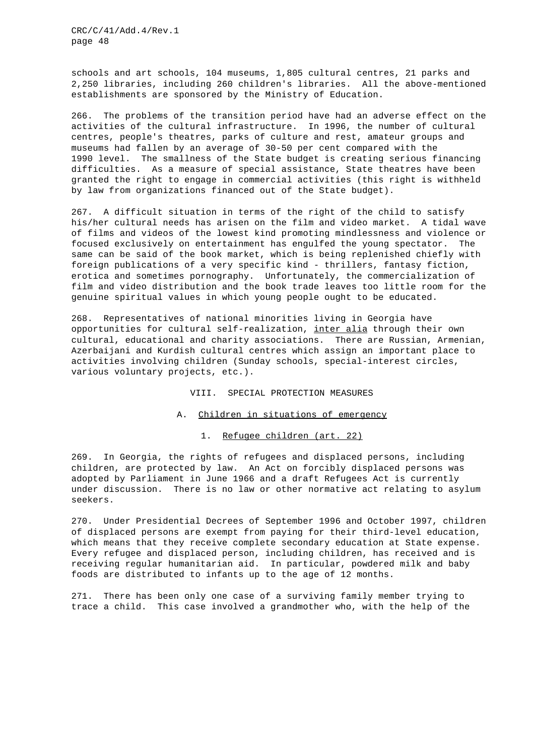schools and art schools, 104 museums, 1,805 cultural centres, 21 parks and 2,250 libraries, including 260 children's libraries. All the above-mentioned establishments are sponsored by the Ministry of Education.

266. The problems of the transition period have had an adverse effect on the activities of the cultural infrastructure. In 1996, the number of cultural centres, people's theatres, parks of culture and rest, amateur groups and museums had fallen by an average of 30-50 per cent compared with the 1990 level. The smallness of the State budget is creating serious financing difficulties. As a measure of special assistance, State theatres have been granted the right to engage in commercial activities (this right is withheld by law from organizations financed out of the State budget).

267. A difficult situation in terms of the right of the child to satisfy his/her cultural needs has arisen on the film and video market. A tidal wave of films and videos of the lowest kind promoting mindlessness and violence or focused exclusively on entertainment has engulfed the young spectator. The same can be said of the book market, which is being replenished chiefly with foreign publications of a very specific kind - thrillers, fantasy fiction, erotica and sometimes pornography. Unfortunately, the commercialization of film and video distribution and the book trade leaves too little room for the genuine spiritual values in which young people ought to be educated.

268. Representatives of national minorities living in Georgia have opportunities for cultural self-realization, inter alia through their own cultural, educational and charity associations. There are Russian, Armenian, Azerbaijani and Kurdish cultural centres which assign an important place to activities involving children (Sunday schools, special-interest circles, various voluntary projects, etc.).

VIII. SPECIAL PROTECTION MEASURES

#### A. Children in situations of emergency

1. Refugee children (art. 22)

269. In Georgia, the rights of refugees and displaced persons, including children, are protected by law. An Act on forcibly displaced persons was adopted by Parliament in June 1966 and a draft Refugees Act is currently under discussion. There is no law or other normative act relating to asylum seekers.

270. Under Presidential Decrees of September 1996 and October 1997, children of displaced persons are exempt from paying for their third-level education, which means that they receive complete secondary education at State expense. Every refugee and displaced person, including children, has received and is receiving regular humanitarian aid. In particular, powdered milk and baby foods are distributed to infants up to the age of 12 months.

271. There has been only one case of a surviving family member trying to trace a child. This case involved a grandmother who, with the help of the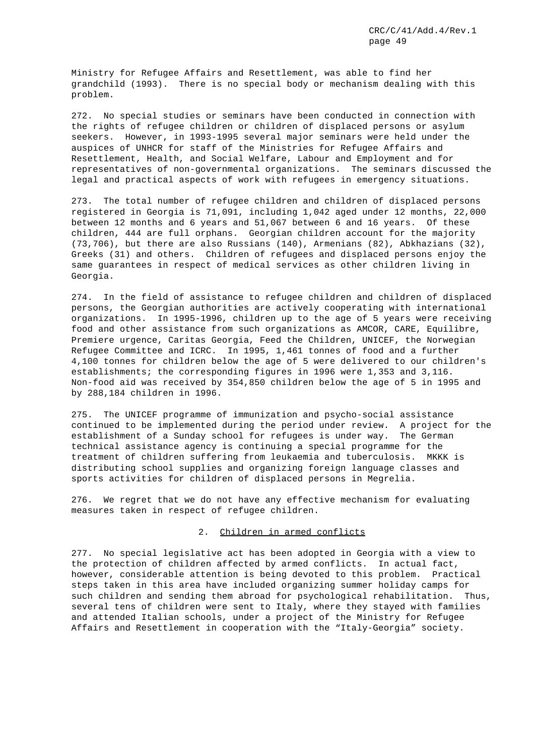Ministry for Refugee Affairs and Resettlement, was able to find her grandchild (1993). There is no special body or mechanism dealing with this problem.

272. No special studies or seminars have been conducted in connection with the rights of refugee children or children of displaced persons or asylum seekers. However, in 1993-1995 several major seminars were held under the auspices of UNHCR for staff of the Ministries for Refugee Affairs and Resettlement, Health, and Social Welfare, Labour and Employment and for representatives of non-governmental organizations. The seminars discussed the legal and practical aspects of work with refugees in emergency situations.

273. The total number of refugee children and children of displaced persons registered in Georgia is 71,091, including 1,042 aged under 12 months, 22,000 between 12 months and 6 years and 51,067 between 6 and 16 years. Of these children, 444 are full orphans. Georgian children account for the majority (73,706), but there are also Russians (140), Armenians (82), Abkhazians (32), Greeks (31) and others. Children of refugees and displaced persons enjoy the same guarantees in respect of medical services as other children living in Georgia.

274. In the field of assistance to refugee children and children of displaced persons, the Georgian authorities are actively cooperating with international organizations. In 1995-1996, children up to the age of 5 years were receiving food and other assistance from such organizations as AMCOR, CARE, Equilibre, Premiere urgence, Caritas Georgia, Feed the Children, UNICEF, the Norwegian Refugee Committee and ICRC. In 1995, 1,461 tonnes of food and a further 4,100 tonnes for children below the age of 5 were delivered to our children's establishments; the corresponding figures in 1996 were 1,353 and 3,116. Non-food aid was received by 354,850 children below the age of 5 in 1995 and by 288,184 children in 1996.

275. The UNICEF programme of immunization and psycho-social assistance continued to be implemented during the period under review. A project for the establishment of a Sunday school for refugees is under way. The German technical assistance agency is continuing a special programme for the treatment of children suffering from leukaemia and tuberculosis. MKKK is distributing school supplies and organizing foreign language classes and sports activities for children of displaced persons in Megrelia.

276. We regret that we do not have any effective mechanism for evaluating measures taken in respect of refugee children.

## 2. Children in armed conflicts

277. No special legislative act has been adopted in Georgia with a view to the protection of children affected by armed conflicts. In actual fact, however, considerable attention is being devoted to this problem. Practical steps taken in this area have included organizing summer holiday camps for such children and sending them abroad for psychological rehabilitation. Thus, several tens of children were sent to Italy, where they stayed with families and attended Italian schools, under a project of the Ministry for Refugee Affairs and Resettlement in cooperation with the "Italy-Georgia" society.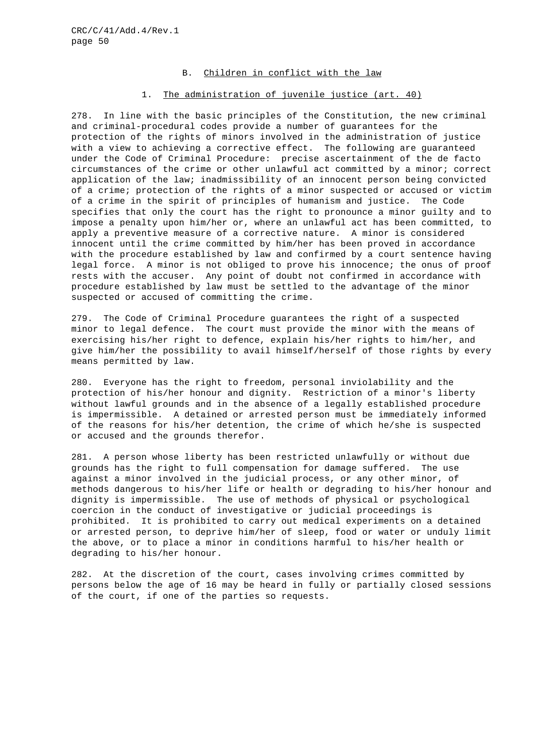## B. Children in conflict with the law

## 1. The administration of juvenile justice (art. 40)

278. In line with the basic principles of the Constitution, the new criminal and criminal-procedural codes provide a number of guarantees for the protection of the rights of minors involved in the administration of justice with a view to achieving a corrective effect. The following are guaranteed under the Code of Criminal Procedure: precise ascertainment of the de facto circumstances of the crime or other unlawful act committed by a minor; correct application of the law; inadmissibility of an innocent person being convicted of a crime; protection of the rights of a minor suspected or accused or victim of a crime in the spirit of principles of humanism and justice. The Code specifies that only the court has the right to pronounce a minor guilty and to impose a penalty upon him/her or, where an unlawful act has been committed, to apply a preventive measure of a corrective nature. A minor is considered innocent until the crime committed by him/her has been proved in accordance with the procedure established by law and confirmed by a court sentence having legal force. A minor is not obliged to prove his innocence; the onus of proof rests with the accuser. Any point of doubt not confirmed in accordance with procedure established by law must be settled to the advantage of the minor suspected or accused of committing the crime.

279. The Code of Criminal Procedure guarantees the right of a suspected minor to legal defence. The court must provide the minor with the means of exercising his/her right to defence, explain his/her rights to him/her, and give him/her the possibility to avail himself/herself of those rights by every means permitted by law.

280. Everyone has the right to freedom, personal inviolability and the protection of his/her honour and dignity. Restriction of a minor's liberty without lawful grounds and in the absence of a legally established procedure is impermissible. A detained or arrested person must be immediately informed of the reasons for his/her detention, the crime of which he/she is suspected or accused and the grounds therefor.

281. A person whose liberty has been restricted unlawfully or without due grounds has the right to full compensation for damage suffered. The use against a minor involved in the judicial process, or any other minor, of methods dangerous to his/her life or health or degrading to his/her honour and dignity is impermissible. The use of methods of physical or psychological coercion in the conduct of investigative or judicial proceedings is prohibited. It is prohibited to carry out medical experiments on a detained or arrested person, to deprive him/her of sleep, food or water or unduly limit the above, or to place a minor in conditions harmful to his/her health or degrading to his/her honour.

282. At the discretion of the court, cases involving crimes committed by persons below the age of 16 may be heard in fully or partially closed sessions of the court, if one of the parties so requests.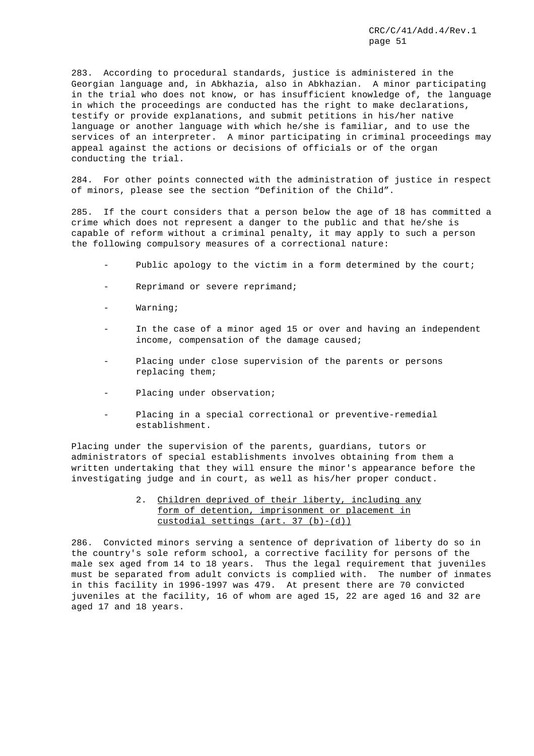283. According to procedural standards, justice is administered in the Georgian language and, in Abkhazia, also in Abkhazian. A minor participating in the trial who does not know, or has insufficient knowledge of, the language in which the proceedings are conducted has the right to make declarations, testify or provide explanations, and submit petitions in his/her native language or another language with which he/she is familiar, and to use the services of an interpreter. A minor participating in criminal proceedings may appeal against the actions or decisions of officials or of the organ conducting the trial.

284. For other points connected with the administration of justice in respect of minors, please see the section "Definition of the Child".

285. If the court considers that a person below the age of 18 has committed a crime which does not represent a danger to the public and that he/she is capable of reform without a criminal penalty, it may apply to such a person the following compulsory measures of a correctional nature:

- Public apology to the victim in a form determined by the court;
- Reprimand or severe reprimand;
- Warning;
- In the case of a minor aged 15 or over and having an independent income, compensation of the damage caused;
- Placing under close supervision of the parents or persons replacing them;
- Placing under observation;
- Placing in a special correctional or preventive-remedial establishment.

Placing under the supervision of the parents, guardians, tutors or administrators of special establishments involves obtaining from them a written undertaking that they will ensure the minor's appearance before the investigating judge and in court, as well as his/her proper conduct.

> 2. Children deprived of their liberty, including any form of detention, imprisonment or placement in custodial settings  $(\text{art. } 37 (\text{b}) - (\text{d}))$

286. Convicted minors serving a sentence of deprivation of liberty do so in the country's sole reform school, a corrective facility for persons of the male sex aged from 14 to 18 years. Thus the legal requirement that juveniles must be separated from adult convicts is complied with. The number of inmates in this facility in 1996-1997 was 479. At present there are 70 convicted juveniles at the facility, 16 of whom are aged 15, 22 are aged 16 and 32 are aged 17 and 18 years.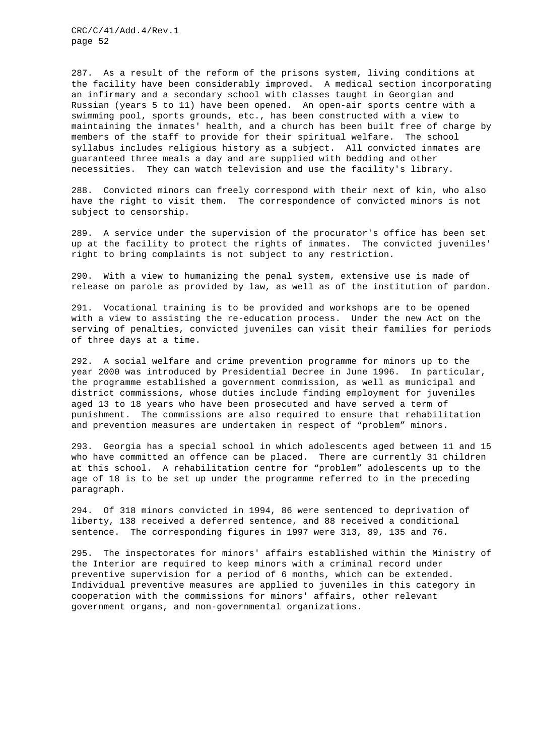287. As a result of the reform of the prisons system, living conditions at the facility have been considerably improved. A medical section incorporating an infirmary and a secondary school with classes taught in Georgian and Russian (years 5 to 11) have been opened. An open-air sports centre with a swimming pool, sports grounds, etc., has been constructed with a view to maintaining the inmates' health, and a church has been built free of charge by members of the staff to provide for their spiritual welfare. The school syllabus includes religious history as a subject. All convicted inmates are guaranteed three meals a day and are supplied with bedding and other necessities. They can watch television and use the facility's library.

288. Convicted minors can freely correspond with their next of kin, who also have the right to visit them. The correspondence of convicted minors is not subject to censorship.

289. A service under the supervision of the procurator's office has been set up at the facility to protect the rights of inmates. The convicted juveniles' right to bring complaints is not subject to any restriction.

290. With a view to humanizing the penal system, extensive use is made of release on parole as provided by law, as well as of the institution of pardon.

291. Vocational training is to be provided and workshops are to be opened with a view to assisting the re-education process. Under the new Act on the serving of penalties, convicted juveniles can visit their families for periods of three days at a time.

292. A social welfare and crime prevention programme for minors up to the year 2000 was introduced by Presidential Decree in June 1996. In particular, the programme established a government commission, as well as municipal and district commissions, whose duties include finding employment for juveniles aged 13 to 18 years who have been prosecuted and have served a term of punishment. The commissions are also required to ensure that rehabilitation and prevention measures are undertaken in respect of "problem" minors.

293. Georgia has a special school in which adolescents aged between 11 and 15 who have committed an offence can be placed. There are currently 31 children at this school. A rehabilitation centre for "problem" adolescents up to the age of 18 is to be set up under the programme referred to in the preceding paragraph.

294. Of 318 minors convicted in 1994, 86 were sentenced to deprivation of liberty, 138 received a deferred sentence, and 88 received a conditional sentence. The corresponding figures in 1997 were 313, 89, 135 and 76.

295. The inspectorates for minors' affairs established within the Ministry of the Interior are required to keep minors with a criminal record under preventive supervision for a period of 6 months, which can be extended. Individual preventive measures are applied to juveniles in this category in cooperation with the commissions for minors' affairs, other relevant government organs, and non-governmental organizations.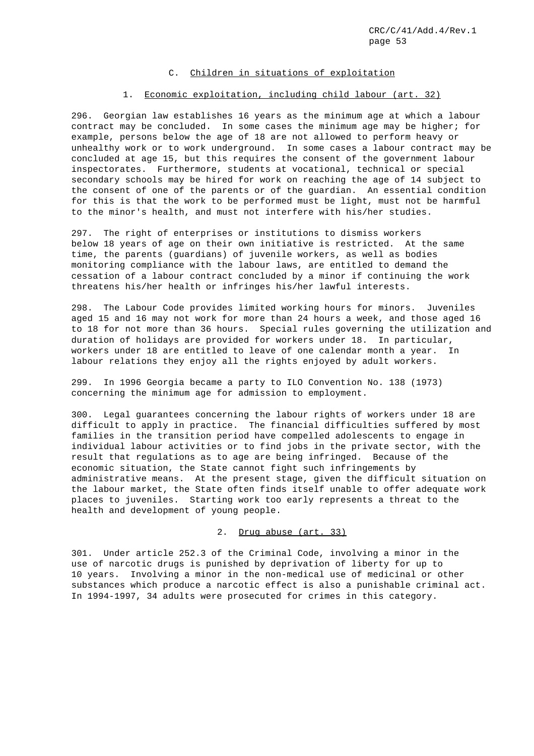## C. Children in situations of exploitation

#### 1. Economic exploitation, including child labour (art. 32)

296. Georgian law establishes 16 years as the minimum age at which a labour contract may be concluded. In some cases the minimum age may be higher; for example, persons below the age of 18 are not allowed to perform heavy or unhealthy work or to work underground. In some cases a labour contract may be concluded at age 15, but this requires the consent of the government labour inspectorates. Furthermore, students at vocational, technical or special secondary schools may be hired for work on reaching the age of 14 subject to the consent of one of the parents or of the guardian. An essential condition for this is that the work to be performed must be light, must not be harmful to the minor's health, and must not interfere with his/her studies.

297. The right of enterprises or institutions to dismiss workers below 18 years of age on their own initiative is restricted. At the same time, the parents (guardians) of juvenile workers, as well as bodies monitoring compliance with the labour laws, are entitled to demand the cessation of a labour contract concluded by a minor if continuing the work threatens his/her health or infringes his/her lawful interests.

298. The Labour Code provides limited working hours for minors. Juveniles aged 15 and 16 may not work for more than 24 hours a week, and those aged 16 to 18 for not more than 36 hours. Special rules governing the utilization and duration of holidays are provided for workers under 18. In particular, workers under 18 are entitled to leave of one calendar month a year. In labour relations they enjoy all the rights enjoyed by adult workers.

299. In 1996 Georgia became a party to ILO Convention No. 138 (1973) concerning the minimum age for admission to employment.

300. Legal guarantees concerning the labour rights of workers under 18 are difficult to apply in practice. The financial difficulties suffered by most families in the transition period have compelled adolescents to engage in individual labour activities or to find jobs in the private sector, with the result that regulations as to age are being infringed. Because of the economic situation, the State cannot fight such infringements by administrative means. At the present stage, given the difficult situation on the labour market, the State often finds itself unable to offer adequate work places to juveniles. Starting work too early represents a threat to the health and development of young people.

2. Drug abuse (art. 33)

301. Under article 252.3 of the Criminal Code, involving a minor in the use of narcotic drugs is punished by deprivation of liberty for up to 10 years. Involving a minor in the non-medical use of medicinal or other substances which produce a narcotic effect is also a punishable criminal act. In 1994-1997, 34 adults were prosecuted for crimes in this category.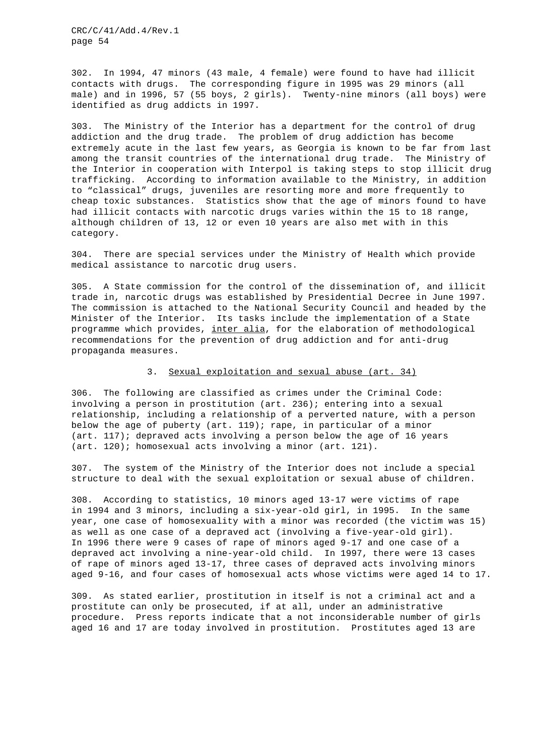302. In 1994, 47 minors (43 male, 4 female) were found to have had illicit contacts with drugs. The corresponding figure in 1995 was 29 minors (all male) and in 1996, 57 (55 boys, 2 girls). Twenty-nine minors (all boys) were identified as drug addicts in 1997.

303. The Ministry of the Interior has a department for the control of drug addiction and the drug trade. The problem of drug addiction has become extremely acute in the last few years, as Georgia is known to be far from last among the transit countries of the international drug trade. The Ministry of the Interior in cooperation with Interpol is taking steps to stop illicit drug trafficking. According to information available to the Ministry, in addition to "classical" drugs, juveniles are resorting more and more frequently to cheap toxic substances. Statistics show that the age of minors found to have had illicit contacts with narcotic drugs varies within the 15 to 18 range, although children of 13, 12 or even 10 years are also met with in this category.

304. There are special services under the Ministry of Health which provide medical assistance to narcotic drug users.

305. A State commission for the control of the dissemination of, and illicit trade in, narcotic drugs was established by Presidential Decree in June 1997. The commission is attached to the National Security Council and headed by the Minister of the Interior. Its tasks include the implementation of a State programme which provides, inter alia, for the elaboration of methodological recommendations for the prevention of drug addiction and for anti-drug propaganda measures.

## 3. Sexual exploitation and sexual abuse (art. 34)

306. The following are classified as crimes under the Criminal Code: involving a person in prostitution (art. 236); entering into a sexual relationship, including a relationship of a perverted nature, with a person below the age of puberty (art. 119); rape, in particular of a minor (art. 117); depraved acts involving a person below the age of 16 years (art. 120); homosexual acts involving a minor (art. 121).

307. The system of the Ministry of the Interior does not include a special structure to deal with the sexual exploitation or sexual abuse of children.

308. According to statistics, 10 minors aged 13-17 were victims of rape in 1994 and 3 minors, including a six-year-old girl, in 1995. In the same year, one case of homosexuality with a minor was recorded (the victim was 15) as well as one case of a depraved act (involving a five-year-old girl). In 1996 there were 9 cases of rape of minors aged 9-17 and one case of a depraved act involving a nine-year-old child. In 1997, there were 13 cases of rape of minors aged 13-17, three cases of depraved acts involving minors aged 9-16, and four cases of homosexual acts whose victims were aged 14 to 17.

309. As stated earlier, prostitution in itself is not a criminal act and a prostitute can only be prosecuted, if at all, under an administrative procedure. Press reports indicate that a not inconsiderable number of girls aged 16 and 17 are today involved in prostitution. Prostitutes aged 13 are